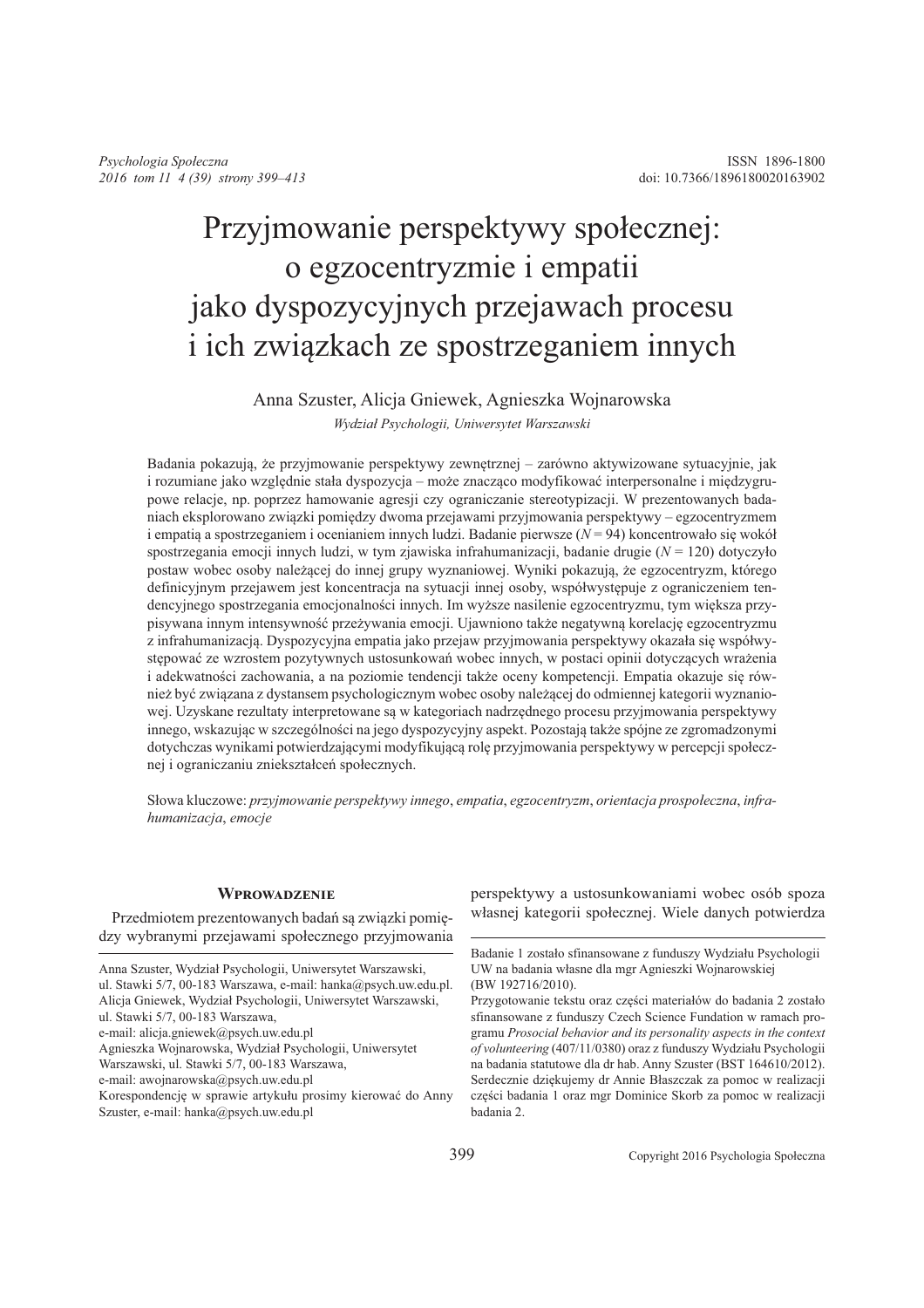# Przyjmowanie perspektywy społecznej: o egzocentryzmie i empatii jako dyspozycyjnych przejawach procesu i ich związkach ze spostrzeganiem innych

## Anna Szuster, Alicja Gniewek, Agnieszka Wojnarowska Wydział Psychologii, Uniwersytet Warszawski

Badania pokazują, że przyjmowanie perspektywy zewnętrznej – zarówno aktywizowane sytuacyjnie, jak i rozumiane jako względnie stała dyspozycja – może znacząco modyfikować interpersonalne i międzygrupowe relacje, np. poprzez hamowanie agresji czy ograniczanie stereotypizacji. W prezentowanych badaniach eksplorowano związki pomiędzy dwoma przejawami przyjmowania perspektywy – egzocentryzmem i empatia a spostrzeganiem i ocenianiem innych ludzi. Badanie pierwsze  $(N = 94)$  koncentrowało się wokół spostrzegania emocji innych ludzi, w tym zjawiska infrahumanizacji, badanie drugie ( $N = 120$ ) dotyczyło postaw wobec osoby należącej do innej grupy wyznaniowej. Wyniki pokazują, że egzocentryzm, którego definicyjnym przejawem jest koncentracja na sytuacji innej osoby, współwystępuje z ograniczeniem tendencyjnego spostrzegania emocjonalności innych. Im wyższe nasilenie egzocentryzmu, tym większa przypisywana innym intensywność przeżywania emocji. Ujawniono także negatywna korelacje egzocentryzmu z infrahumanizacją. Dyspozycyjna empatia jako przejaw przyjmowania perspektywy okazała się współwystępować ze wzrostem pozytywnych ustosunkowań wobec innych, w postaci opinii dotyczących wrażenia i adekwatności zachowania, a na poziomie tendencji także oceny kompetencji. Empatia okazuje się również być związana z dystansem psychologicznym wobec osoby należącej do odmiennej kategorii wyznaniowej. Uzyskane rezultaty interpretowane są w kategoriach nadrzędnego procesu przyjmowania perspektywy innego, wskazując w szczególności na jego dyspozycyjny aspekt. Pozostają także spójne ze zgromadzonymi dotychczas wynikami potwierdzającymi modyfikującą rolę przyjmowania perspektywy w percepcji społecznej i ograniczaniu zniekształceń społecznych.

Słowa kluczowe: przyjmowanie perspektywy innego, empatia, egzocentryzm, orientacja prospołeczna, infrahumanizacja, emocje

### **WPROWADZENIE**

Przedmiotem prezentowanych badań są związki pomiędzy wybranymi przejawami społecznego przyjmowania perspektywy a ustosunkowaniami wobec osób spoza własnej kategorii społecznej. Wiele danych potwierdza

Anna Szuster, Wydział Psychologii, Uniwersytet Warszawski, ul. Stawki 5/7, 00-183 Warszawa, e-mail: hanka@psych.uw.edu.pl.

Alicja Gniewek, Wydział Psychologii, Uniwersytet Warszawski, ul. Stawki 5/7, 00-183 Warszawa,

e-mail: alicja.gniewek@psych.uw.edu.pl

Agnieszka Wojnarowska, Wydział Psychologii, Uniwersytet

Warszawski, ul. Stawki 5/7, 00-183 Warszawa,

e-mail: awojnarowska@psych.uw.edu.pl

Korespondencję w sprawie artykułu prosimy kierować do Anny Szuster, e-mail: hanka@psych.uw.edu.pl

Badanie 1 zostało sfinansowane z funduszy Wydziału Psychologii UW na badania własne dla mgr Agnieszki Wojnarowskiej (BW 192716/2010).

Przygotowanie tekstu oraz części materiałów do badania 2 zostało sfinansowane z funduszy Czech Science Fundation w ramach programu Prosocial behavior and its personality aspects in the context of volunteering (407/11/0380) oraz z funduszy Wydziału Psychologii na badania statutowe dla dr hab. Anny Szuster (BST 164610/2012). Serdecznie dziękujemy dr Annie Błaszczak za pomoc w realizacji części badania 1 oraz mgr Dominice Skorb za pomoc w realizacji badania 2.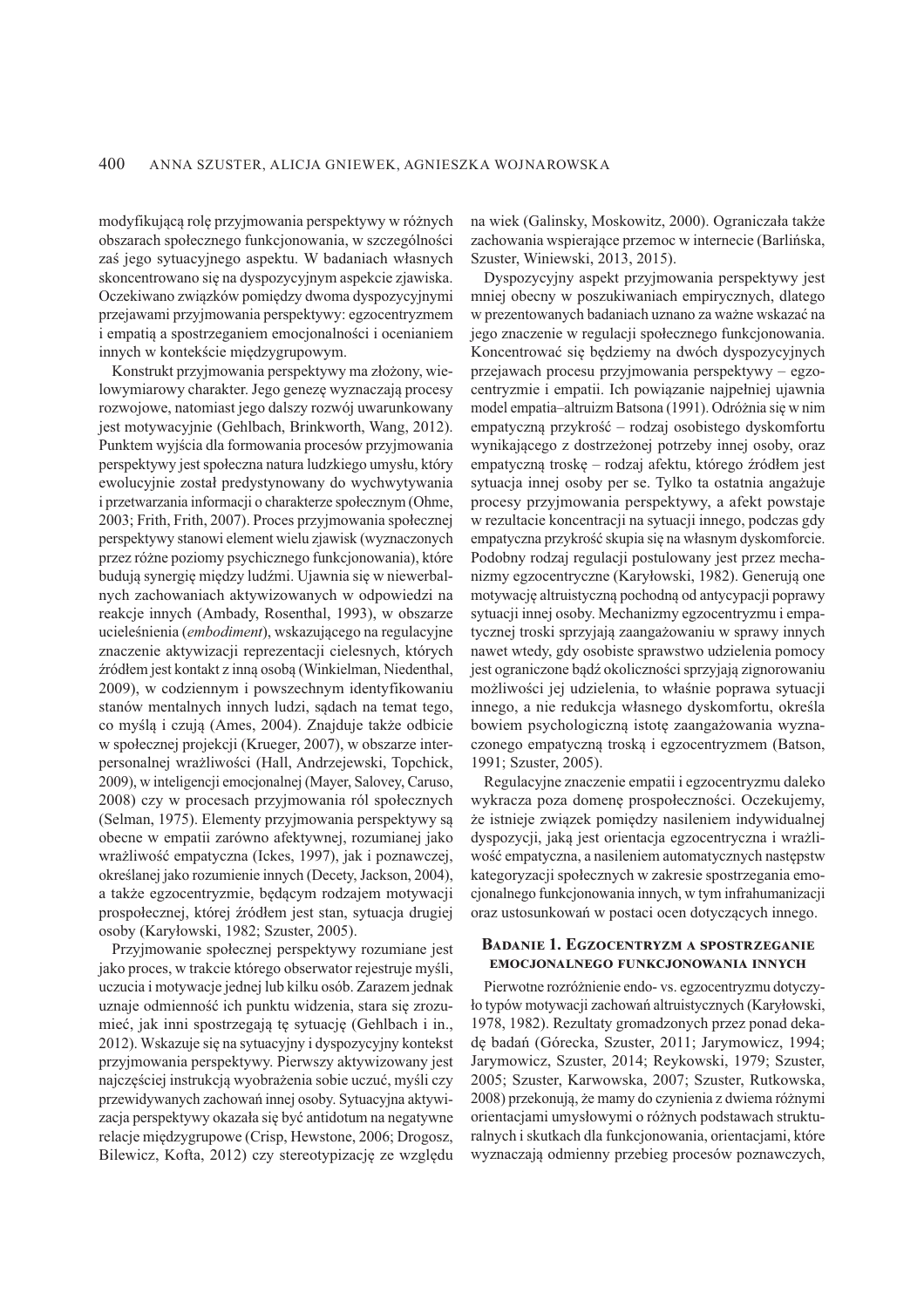modyfikującą rolę przyjmowania perspektywy w różnych obszarach społecznego funkcjonowania, w szczególności zaś jego sytuacyjnego aspektu. W badaniach własnych skoncentrowano się na dyspozycyjnym aspekcie zjawiska. Oczekiwano związków pomiędzy dwoma dyspozycyjnymi przejawami przyjmowania perspektywy: egzocentryzmem i empatia a spostrzeganiem emocjonalności i ocenianiem innych w kontekście międzygrupowym.

Konstrukt przyjmowania perspektywy ma złożony, wielowymiarowy charakter. Jego genezę wyznaczają procesy rozwojowe, natomiast jego dalszy rozwój uwarunkowany jest motywacyjnie (Gehlbach, Brinkworth, Wang, 2012). Punktem wyjścia dla formowania procesów przyjmowania perspektywy jest społeczna natura ludzkiego umysłu, który ewolucyjnie został predystynowany do wychwytywania i przetwarzania informacji o charakterze społecznym (Ohme, 2003; Frith, Frith, 2007). Proces przyjmowania społecznej perspektywy stanowi element wielu zjawisk (wyznaczonych przez różne poziomy psychicznego funkcjonowania), które budują synergię między ludźmi. Ujawnia się w niewerbalnych zachowaniach aktywizowanych w odpowiedzi na reakcje innych (Ambady, Rosenthal, 1993), w obszarze ucieleśnienia (*embodiment*), wskazującego na regulacyjne znaczenie aktywizacji reprezentacji cielesnych, których źródłem jest kontakt z inną osobą (Winkielman, Niedenthal, 2009), w codziennym i powszechnym identyfikowaniu stanów mentalnych innych ludzi, sadach na temat tego, co myślą i czują (Ames, 2004). Znajduje także odbicie w społecznej projekcji (Krueger, 2007), w obszarze interpersonalnej wrażliwości (Hall, Andrzejewski, Topchick, 2009), w inteligencji emocjonalnej (Mayer, Salovey, Caruso, 2008) czy w procesach przyjmowania ról społecznych (Selman, 1975). Elementy przyjmowania perspektywy są obecne w empatii zarówno afektywnej, rozumianej jako wrażliwość empatyczna (Ickes, 1997), jak i poznawczej, określanej jako rozumienie innych (Decety, Jackson, 2004), a także egzocentryzmie, będącym rodzajem motywacji prospołecznej, której źródłem jest stan, sytuacja drugiej osoby (Karyłowski, 1982; Szuster, 2005).

Przyjmowanie społecznej perspektywy rozumiane jest jako proces, w trakcie którego obserwator rejestruje myśli, uczucia i motywacje jednej lub kilku osób. Zarazem jednak uznaje odmienność ich punktu widzenia, stara się zrozumieć, jak inni spostrzegają tę sytuację (Gehlbach i in., 2012). Wskazuje się na sytuacyjny i dyspozycyjny kontekst przyjmowania perspektywy. Pierwszy aktywizowany jest najczęściej instrukcją wyobrażenia sobie uczuć, myśli czy przewidywanych zachowań innej osoby. Sytuacyjna aktywizacja perspektywy okazała się być antidotum na negatywne relacje międzygrupowe (Crisp, Hewstone, 2006; Drogosz, Bilewicz, Kofta, 2012) czy stereotypizację ze względu

na wiek (Galinsky, Moskowitz, 2000). Ograniczała także zachowania wspierające przemoc w internecie (Barlińska, Szuster, Winiewski, 2013, 2015).

Dyspozycyjny aspekt przyjmowania perspektywy jest mniej obecny w poszukiwaniach empirycznych, dlatego w prezentowanych badaniach uznano za ważne wskazać na jego znaczenie w regulacji społecznego funkcjonowania. Koncentrować się będziemy na dwóch dyspozycyjnych przejawach procesu przyjmowania perspektywy – egzocentryzmie i empatii. Ich powiązanie najpełniej ujawnia model empatia-altruizm Batsona (1991). Odróżnia się w nim empatyczną przykrość – rodzaj osobistego dyskomfortu wynikającego z dostrzeżonej potrzeby innej osoby, oraz empatyczną troskę – rodzaj afektu, którego źródłem jest sytuacja innej osoby per se. Tylko ta ostatnia angażuje procesy przyjmowania perspektywy, a afekt powstaje w rezultacie koncentracji na sytuacji innego, podczas gdy empatyczna przykrość skupia się na własnym dyskomforcie. Podobny rodzaj regulacji postulowany jest przez mechanizmy egzocentryczne (Karyłowski, 1982). Generują one motywację altruistyczną pochodną od antycypacji poprawy sytuacji innej osoby. Mechanizmy egzocentryzmu i empatycznej troski sprzyjają zaangażowaniu w sprawy innych nawet wtedy, gdy osobiste sprawstwo udzielenia pomocy jest ograniczone bądź okoliczności sprzyjają zignorowaniu możliwości jej udzielenia, to właśnie poprawa sytuacji innego, a nie redukcia własnego dyskomfortu, określa bowiem psychologiczną istotę zaangażowania wyznaczonego empatyczną troską i egzocentryzmem (Batson, 1991: Szuster, 2005).

Regulacyjne znaczenie empatii i egzocentryzmu daleko wykracza poza domenę prospołeczności. Oczekujemy, że istnieje związek pomiędzy nasileniem indywidualnej dyspozycji, jaką jest orientacja egzocentryczna i wrażliwość empatyczna, a nasileniem automatycznych następstw kategoryzacji społecznych w zakresie spostrzegania emocjonalnego funkcjonowania innych, w tym infrahumanizacji oraz ustosunkowań w postaci ocen dotyczących innego.

### **BADANIE 1. EGZOCENTRYZM A SPOSTRZEGANIE** EMOCJONALNEGO FUNKCJONOWANIA INNYCH

Pierwotne rozróżnienie endo- vs. egzocentryzmu dotyczyło typów motywacji zachowań altruistycznych (Karyłowski, 1978, 1982). Rezultaty gromadzonych przez ponad dekadę badań (Górecka, Szuster, 2011; Jarymowicz, 1994; Jarymowicz, Szuster, 2014; Reykowski, 1979; Szuster, 2005; Szuster, Karwowska, 2007; Szuster, Rutkowska, 2008) przekonują, że mamy do czynienia z dwiema różnymi orientacjami umysłowymi o różnych podstawach strukturalnych i skutkach dla funkcjonowania, orientacjami, które wyznaczają odmienny przebieg procesów poznawczych,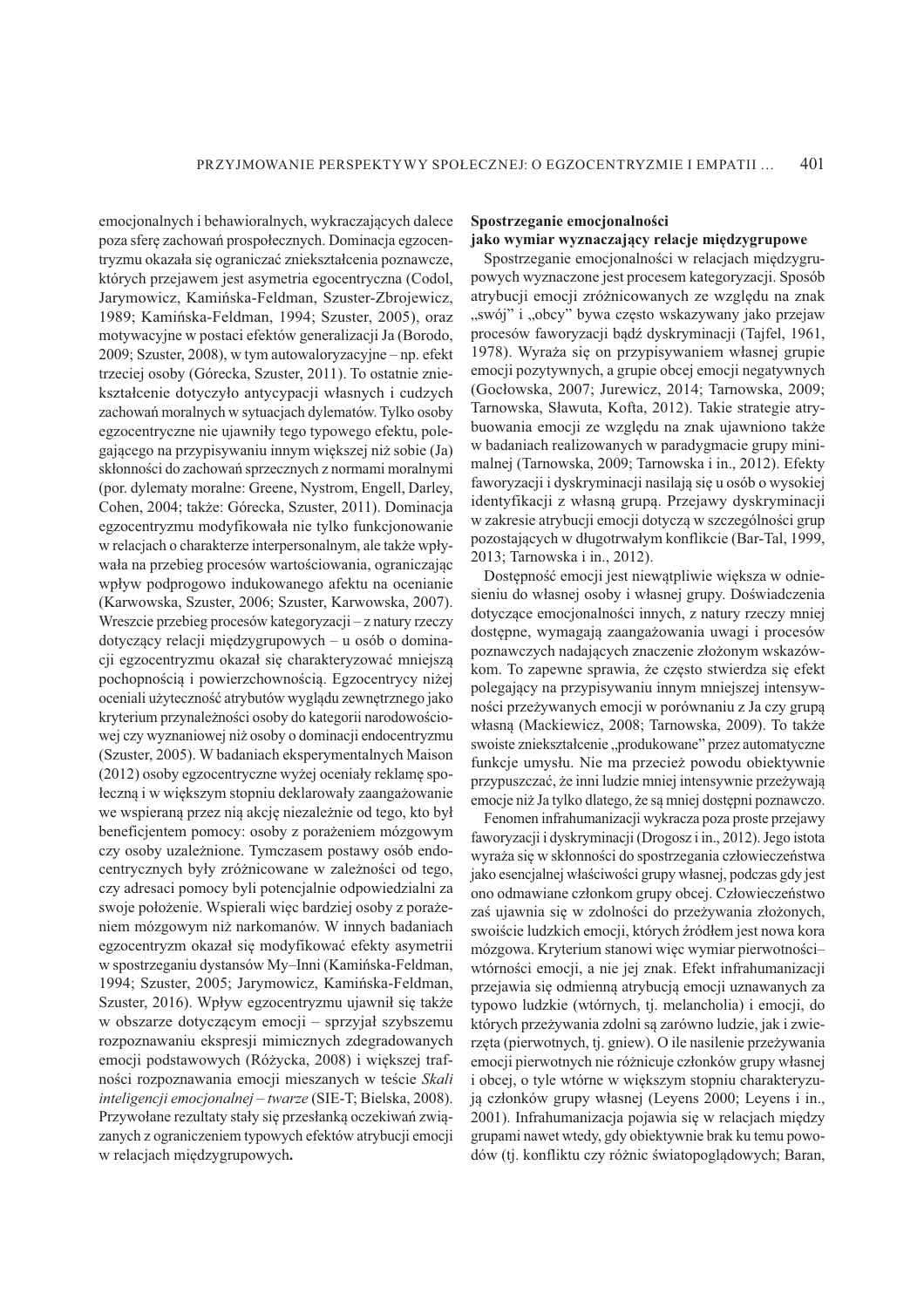emocjonalnych i behawioralnych, wykraczających dalece poza sferę zachowań prospołecznych. Dominacja egzocentryzmu okazała się ograniczać zniekształcenia poznawcze, których przejawem jest asymetria egocentryczna (Codol, Jarymowicz, Kamińska-Feldman, Szuster-Zbrojewicz, 1989: Kamińska-Feldman, 1994: Szuster, 2005), oraz motywacyjne w postaci efektów generalizacji Ja (Borodo, 2009; Szuster, 2008), w tym autowaloryzacyjne - np. efekt trzeciej osoby (Górecka, Szuster, 2011). To ostatnie zniekształcenie dotyczyło antycypacji własnych i cudzych zachowań moralnych w sytuacjach dylematów. Tylko osoby egzocentryczne nie ujawniły tego typowego efektu, polegającego na przypisywaniu innym większej niż sobie (Ja) skłonności do zachowań sprzecznych z normami moralnymi (por. dylematy moralne: Greene, Nystrom, Engell, Darley, Cohen, 2004; także: Górecka, Szuster, 2011). Dominacja egzocentryzmu modyfikowała nie tylko funkcjonowanie w relacjach o charakterze interpersonalnym, ale także wpływała na przebieg procesów wartościowania, ograniczając wpływ podprogowo indukowanego afektu na ocenianie (Karwowska, Szuster, 2006; Szuster, Karwowska, 2007). Wreszcie przebieg procesów kategoryzacji – z natury rzeczy dotyczący relacji międzygrupowych – u osób o dominacji egzocentryzmu okazał się charakteryzować mniejszą pochopnością i powierzchownością. Egzocentrycy niżej oceniali użyteczność atrybutów wyglądu zewnętrznego jako kryterium przynależności osoby do kategorii narodowościowej czy wyznaniowej niż osoby o dominacji endocentryzmu (Szuster, 2005). W badaniach eksperymentalnych Maison (2012) osoby egzocentryczne wyżej oceniały reklamę społeczna i w wiekszym stopniu deklarowały zaangażowanie we wspieraną przez nią akcję niezależnie od tego, kto był beneficjentem pomocy: osoby z porażeniem mózgowym czy osoby uzależnione. Tymczasem postawy osób endocentrycznych były zróżnicowane w zależności od tego, czy adresaci pomocy byli potencjalnie odpowiedzialni za swoje położenie. Wspierali więc bardziej osoby z porażeniem mózgowym niż narkomanów. W innych badaniach egzocentryzm okazał się modyfikować efekty asymetrii w spostrzeganiu dystansów My-Inni (Kamińska-Feldman, 1994; Szuster, 2005; Jarymowicz, Kamińska-Feldman, Szuster, 2016). Wpływ egzocentryzmu ujawnił się także w obszarze dotyczącym emocji – sprzyjał szybszemu rozpoznawaniu ekspresji mimicznych zdegradowanych emocji podstawowych (Różycka, 2008) i większej trafności rozpoznawania emocji mieszanych w teście Skali inteligencji emocjonalnej – twarze (SIE-T; Bielska, 2008). Przywołane rezultaty stały się przesłanką oczekiwań związanych z ograniczeniem typowych efektów atrybucji emocji w relacjach międzygrupowych.

### Spostrzeganie emocjonalności jako wymiar wyznaczający relacje miedzygrupowe

Spostrzeganie emocjonalności w relacjach międzygrupowych wyznaczone jest procesem kategoryzacji. Sposób atrybucji emocji zróżnicowanych ze względu na znak "swój" i "obcy" bywa często wskazywany jako przejaw procesów faworyzacji bądź dyskryminacji (Tajfel, 1961, 1978). Wyraża się on przypisywaniem własnej grupie emocji pozytywnych, a grupie obcej emocji negatywnych (Gocłowska, 2007; Jurewicz, 2014; Tarnowska, 2009; Tarnowska, Sławuta, Kofta, 2012). Takie strategie atrybuowania emocji ze względu na znak ujawniono także w badaniach realizowanych w paradygmacie grupy minimalnej (Tarnowska, 2009; Tarnowska i in., 2012). Efekty faworyzacji i dyskryminacji nasilają się u osób o wysokiej identyfikacji z własną grupą. Przejawy dyskryminacji w zakresie atrybucji emocji dotyczą w szczególności grup pozostających w długotrwałym konflikcie (Bar-Tal, 1999, 2013; Tarnowska i in., 2012).

Dostępność emocji jest niewątpliwie większa w odniesieniu do własnej osoby i własnej grupy. Doświadczenia dotyczące emocjonalności innych, z natury rzeczy mniej dostępne, wymagają zaangażowania uwagi i procesów poznawczych nadających znaczenie złożonym wskazówkom. To zapewne sprawia, że często stwierdza się efekt polegający na przypisywaniu innym mniejszej intensywności przeżywanych emocji w porównaniu z Ja czy grupa własną (Mackiewicz, 2008; Tarnowska, 2009). To także swoiste zniekształcenie "produkowane" przez automatyczne funkcje umysłu. Nie ma przecież powodu obiektywnie przypuszczać, że inni ludzie mniej intensywnie przeżywają emocje niż Ja tylko dlatego, że są mniej dostępni poznawczo.

Fenomen infrahumanizacji wykracza poza proste przejawy faworyzacji i dyskryminacji (Drogosz i in., 2012). Jego istota wyraża się w skłonności do spostrzegania człowieczeństwa jako esencjalnej właściwości grupy własnej, podczas gdy jest ono odmawiane członkom grupy obcej. Człowieczeństwo zaś ujawnia się w zdolności do przeżywania złożonych, swoiście ludzkich emocji, których źródłem jest nowa kora mózgowa. Kryterium stanowi więc wymiar pierwotnościwtórności emocji, a nie jej znak. Efekt infrahumanizacji przejawia się odmienną atrybucją emocji uznawanych za typowo ludzkie (wtórnych, tj. melancholia) i emocji, do których przeżywania zdolni są zarówno ludzie, jak i zwierzęta (pierwotnych, tj. gniew). O ile nasilenie przeżywania emocji pierwotnych nie różnicuje członków grupy własnej i obcej, o tyle wtórne w większym stopniu charakteryzują członków grupy własnej (Leyens 2000; Leyens i in., 2001). Infrahumanizacja pojawia się w relacjach między grupami nawet wtedy, gdy obiektywnie brak ku temu powodów (tj. konfliktu czy różnic światopoglądowych; Baran,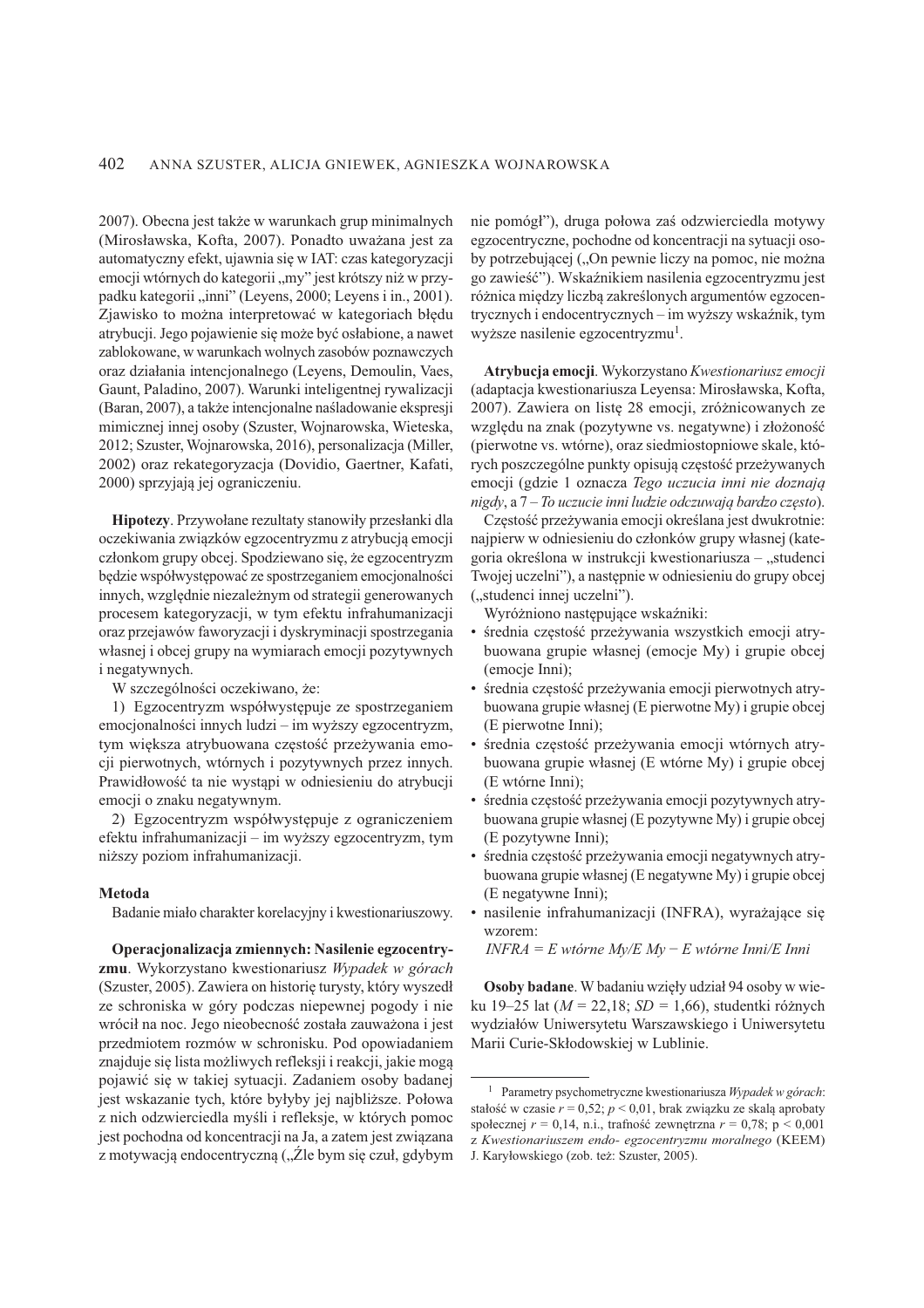2007). Obecna jest także w warunkach grup minimalnych (Mirosławska, Kofta, 2007). Ponadto uważana jest za automatyczny efekt, ujawnia się w IAT: czas kategoryzacji emocji wtórnych do kategorii "my" jest krótszy niż w przypadku kategorii "inni" (Leyens, 2000; Leyens i in., 2001). Zjawisko to można interpretować w kategoriach błędu atrybucji. Jego pojawienie się może być osłabione, a nawet zablokowane, w warunkach wolnych zasobów poznawczych oraz działania intencjonalnego (Leyens, Demoulin, Vaes, Gaunt, Paladino, 2007). Warunki inteligentnej rywalizacji (Baran, 2007), a także intencjonalne naśladowanie ekspresji mimicznej innej osoby (Szuster, Wojnarowska, Wieteska, 2012; Szuster, Wojnarowska, 2016), personalizacja (Miller, 2002) oraz rekategoryzacja (Dovidio, Gaertner, Kafati, 2000) sprzyjają jej ograniczeniu.

Hipotezy. Przywołane rezultaty stanowiły przesłanki dla oczekiwania związków egzocentryzmu z atrybucją emocji członkom grupy obcej. Spodziewano się, że egzocentryzm będzie współwystępować ze spostrzeganiem emocjonalności innych, względnie niezależnym od strategii generowanych procesem kategoryzacji, w tym efektu infrahumanizacji oraz przejawów faworyzacji i dyskryminacji spostrzegania własnej i obcej grupy na wymiarach emocji pozytywnych i negatywnych.

W szczególności oczekiwano, że:

1) Egzocentryzm współwystępuje ze spostrzeganiem emocjonalności innych ludzi – im wyższy egzocentryzm, tym większa atrybuowana częstość przeżywania emocii pierwotnych, wtórnych i pozytywnych przez innych. Prawidłowość ta nie wystąpi w odniesieniu do atrybucji emocji o znaku negatywnym.

2) Egzocentryzm współwystępuje z ograniczeniem efektu infrahumanizacji - im wyższy egzocentryzm, tym niższy poziom infrahumanizacji.

### Metoda

Badanie miało charakter korelacyjny i kwestionariuszowy.

Operacjonalizacja zmiennych: Nasilenie egzocentryzmu. Wykorzystano kwestionariusz Wypadek w górach (Szuster, 2005). Zawiera on historię turysty, który wyszedł ze schroniska w góry podczas niepewnej pogody i nie wrócił na noc. Jego nieobecność została zauważona i jest przedmiotem rozmów w schronisku. Pod opowiadaniem znajduje się lista możliwych refleksji i reakcji, jakie mogą pojawić się w takiej sytuacji. Zadaniem osoby badanej jest wskazanie tych, które byłyby jej najbliższe. Połowa z nich odzwierciedla myśli i refleksje, w których pomoc jest pochodna od koncentracji na Ja, a zatem jest związana z motywacją endocentryczną ("Źle bym się czuł, gdybym nie pomógł"), druga połowa zaś odzwierciedla motywy egzocentryczne, pochodne od koncentracji na sytuacji osoby potrzebującej ("On pewnie liczy na pomoc, nie można go zawieść"). Wskaźnikiem nasilenia egzocentryzmu jest różnica między liczbą zakreślonych argumentów egzocentrycznych i endocentrycznych - im wyższy wskaźnik, tym wyższe nasilenie egzocentryzmu<sup>1</sup>.

Atrybucja emocji. Wykorzystano Kwestionariusz emocji (adaptacja kwestionariusza Leyensa: Mirosławska, Kofta, 2007). Zawiera on listę 28 emocji, zróżnicowanych ze względu na znak (pozytywne vs. negatywne) i złożoność (pierwotne vs. wtórne), oraz siedmiostopniowe skale, których poszczególne punkty opisują częstość przeżywanych emocji (gdzie 1 oznacza Tego uczucia inni nie doznają nigdy, a 7 - To uczucie inni ludzie odczuwają bardzo często).

Częstość przeżywania emocji określana jest dwukrotnie: najpierw w odniesieniu do członków grupy własnej (kategoria określona w instrukcji kwestionariusza – "studenci Twojej uczelni"), a następnie w odniesieniu do grupy obcej ("studenci innej uczelni").

Wyróżniono następujące wskaźniki:

- · średnia częstość przeżywania wszystkich emocji atrybuowana grupie własnej (emocje My) i grupie obcej (emocje Inni);
- · średnia częstość przeżywania emocji pierwotnych atrybuowana grupie własnej (E pierwotne My) i grupie obcej (E pierwotne Inni);
- · średnia częstość przeżywania emocji wtórnych atrybuowana grupie własnej (E wtórne My) i grupie obcej (E wtórne Inni):
- · średnia częstość przeżywania emocji pozytywnych atrybuowana grupie własnej (E pozytywne My) i grupie obcej (E pozytywne Inni);
- · średnia częstość przeżywania emocji negatywnych atrybuowana grupie własnej (E negatywne My) i grupie obcej (E negatywne Inni);
- · nasilenie infrahumanizacji (INFRA), wyrażające się wzorem:

 $INFRA = E$  wtórne  $Mv/E$   $Mv - E$  wtórne Inni/E Inni

Osoby badane. W badaniu wzięły udział 94 osoby w wieku 19–25 lat ( $M = 22,18$ ;  $SD = 1,66$ ), studentki różnych wydziałów Uniwersytetu Warszawskiego i Uniwersytetu Marii Curie-Skłodowskiej w Lublinie.

<sup>&</sup>lt;sup>1</sup> Parametry psychometryczne kwestionariusza Wypadek w górach: stałość w czasie  $r = 0.52$ ;  $p < 0.01$ , brak związku ze skalą aprobaty społecznej  $r = 0.14$ , n.i., trafność zewnętrzna  $r = 0.78$ ; p < 0.001 z Kwestionariuszem endo- egzocentryzmu moralnego (KEEM) J. Karyłowskiego (zob. też: Szuster, 2005).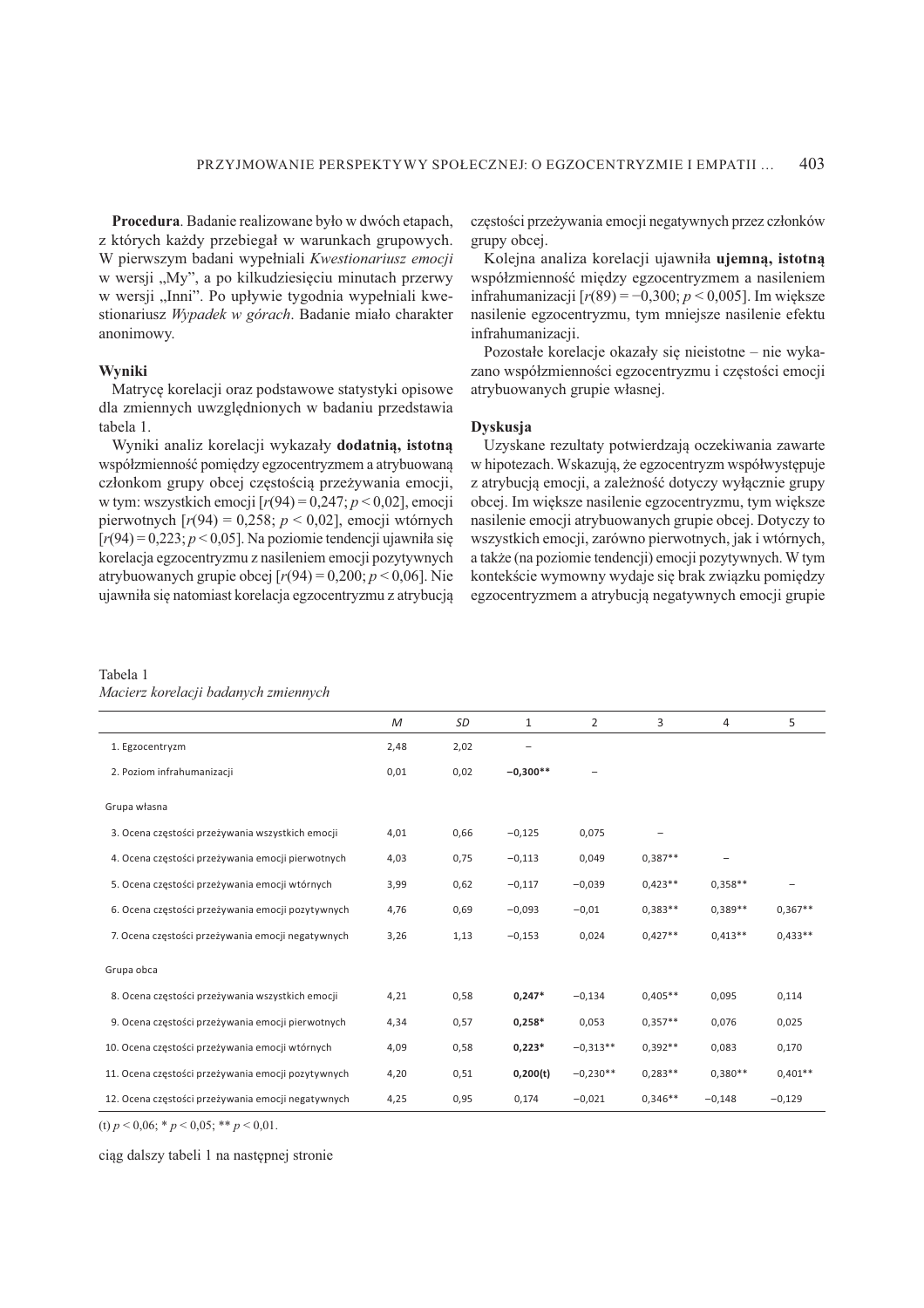Procedura. Badanie realizowane było w dwóch etapach, z których każdy przebiegał w warunkach grupowych. W pierwszym badani wypełniali Kwestionariusz emocji w wersji "My", a po kilkudziesięciu minutach przerwy w wersji "Inni". Po upływie tygodnia wypełniali kwestionariusz Wypadek w górach. Badanie miało charakter anonimowy.

### Wvniki

Matrycę korelacji oraz podstawowe statystyki opisowe dla zmiennych uwzględnionych w badaniu przedstawia tabela 1.

Wyniki analiz korelacji wykazały dodatnią, istotną współzmienność pomiędzy egzocentryzmem a atrybuowaną członkom grupy obcej częstością przeżywania emocji, w tym: wszystkich emocji [ $r(94) = 0,247$ ;  $p < 0,02$ ], emocji pierwotnych  $[r(94) = 0,258; p < 0,02]$ , emocji wtórnych  $[r(94) = 0,223; p < 0,05]$ . Na poziomie tendencji ujawniła się korelacja egzocentryzmu z nasileniem emocji pozytywnych atrybuowanych grupie obcej  $[r(94) = 0,200; p < 0,06]$ . Nie ujawniła się natomiast korelacja egzocentryzmu z atrybucją częstości przeżywania emocji negatywnych przez członków grupy obcej.

Kolejna analiza korelacji ujawniła ujemną, istotną współzmienność między egzocentryzmem a nasileniem infrahumanizacji [ $r(89) = -0,300; p < 0,005$ ]. Im większe nasilenie egzocentryzmu, tym mniejsze nasilenie efektu infrahumanizacji.

Pozostałe korelacje okazały się nieistotne – nie wykazano współzmienności egzocentryzmu i częstości emocji atrybuowanych grupie własnej.

### **Dyskusja**

Uzyskane rezultaty potwierdzają oczekiwania zawarte w hipotezach. Wskazują, że egzocentryzm współwystępuje z atrybucją emocji, a zależność dotyczy wyłącznie grupy obcej. Im większe nasilenie egzocentryzmu, tym większe nasilenie emocji atrybuowanych grupie obcej. Dotyczy to wszystkich emocji, zarówno pierwotnych, jak i wtórnych, a także (na poziomie tendencji) emocji pozytywnych. W tym kontekście wymowny wydaje się brak związku pomiędzy egzocentryzmem a atrybucją negatywnych emocji grupie

### Tabela 1

|  |  |  | Macierz korelacji badanych zmiennych |  |
|--|--|--|--------------------------------------|--|
|  |  |  |                                      |  |

|                                                    | $\mathcal M$ | SD   | 1          | $\overline{2}$ | 3         | 4                 | 5         |
|----------------------------------------------------|--------------|------|------------|----------------|-----------|-------------------|-----------|
| 1. Egzocentryzm                                    | 2,48         | 2,02 |            |                |           |                   |           |
| 2. Poziom infrahumanizacji                         | 0,01         | 0,02 | $-0,300**$ |                |           |                   |           |
| Grupa własna                                       |              |      |            |                |           |                   |           |
| 3. Ocena częstości przeżywania wszystkich emocji   | 4,01         | 0,66 | $-0,125$   | 0,075          |           |                   |           |
| 4. Ocena częstości przeżywania emocji pierwotnych  | 4,03         | 0,75 | $-0,113$   | 0,049          | $0,387**$ | $\qquad \qquad -$ |           |
| 5. Ocena częstości przeżywania emocji wtórnych     | 3,99         | 0,62 | $-0,117$   | $-0,039$       | $0,423**$ | $0,358**$         |           |
| 6. Ocena częstości przeżywania emocji pozytywnych  | 4,76         | 0,69 | $-0,093$   | $-0,01$        | $0,383**$ | $0,389**$         | $0,367**$ |
| 7. Ocena częstości przeżywania emocji negatywnych  | 3,26         | 1,13 | $-0,153$   | 0,024          | $0,427**$ | $0,413**$         | $0,433**$ |
| Grupa obca                                         |              |      |            |                |           |                   |           |
| 8. Ocena częstości przeżywania wszystkich emocji   | 4,21         | 0,58 | $0,247*$   | $-0,134$       | $0,405**$ | 0,095             | 0,114     |
| 9. Ocena częstości przeżywania emocji pierwotnych  | 4,34         | 0,57 | $0,258*$   | 0,053          | $0,357**$ | 0,076             | 0,025     |
| 10. Ocena częstości przeżywania emocji wtórnych    | 4,09         | 0,58 | $0,223*$   | $-0.313**$     | $0,392**$ | 0,083             | 0,170     |
| 11. Ocena częstości przeżywania emocji pozytywnych | 4,20         | 0,51 | 0,200(t)   | $-0.230**$     | $0,283**$ | $0,380**$         | $0,401**$ |
| 12. Ocena częstości przeżywania emocji negatywnych | 4,25         | 0,95 | 0,174      | $-0,021$       | $0,346**$ | $-0,148$          | $-0,129$  |

(t)  $p < 0.06$ ; \*  $p < 0.05$ ; \*\*  $p < 0.01$ .

ciąg dalszy tabeli 1 na następnej stronie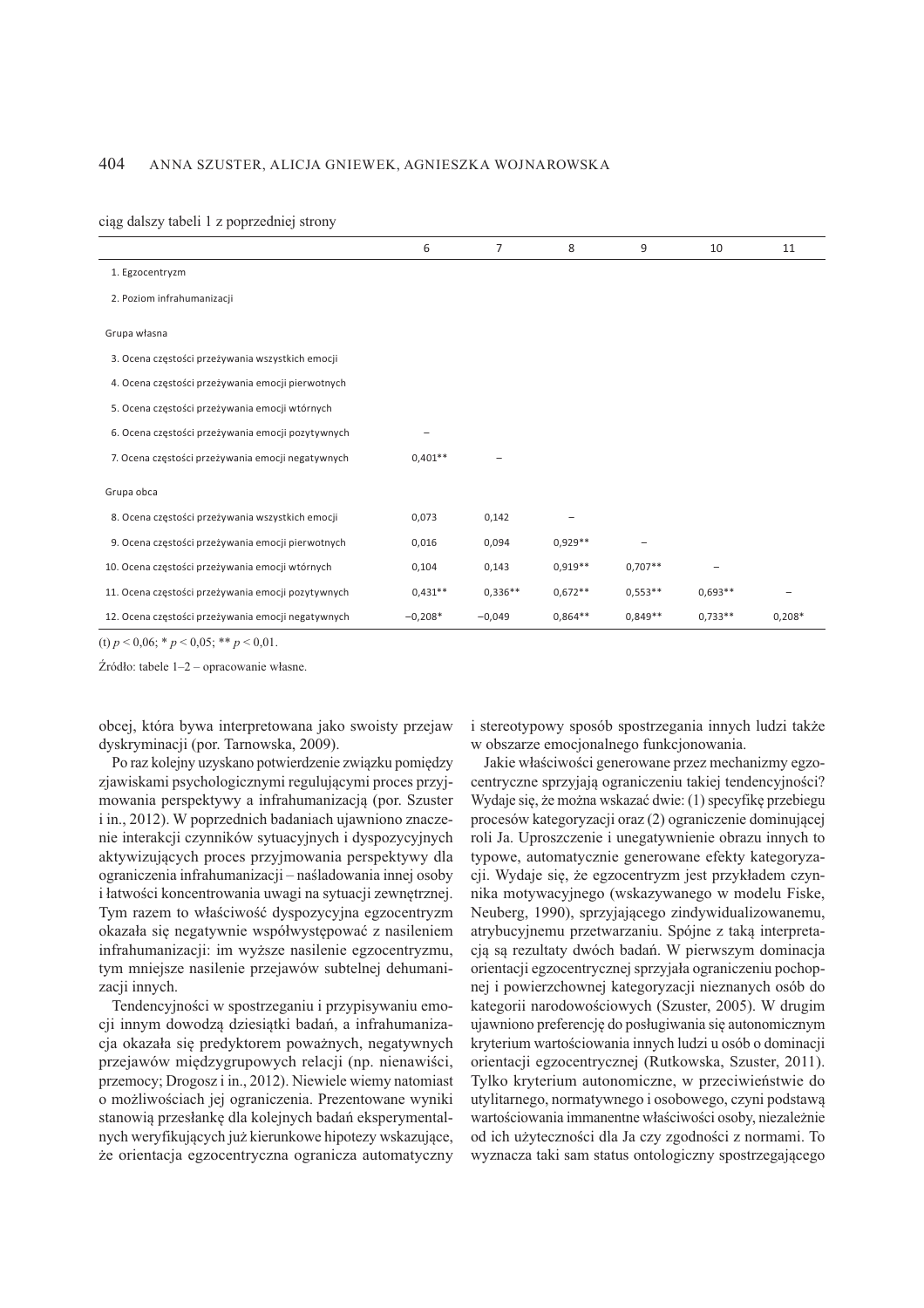#### 404 ANNA SZUSTER, ALICJA GNIEWEK, AGNIESZKA WOJNAROWSKA

ciąg dalszy tabeli 1 z poprzedniej strony

|                                                    | 6         | 7         | 8         | 9         | 10        | 11       |
|----------------------------------------------------|-----------|-----------|-----------|-----------|-----------|----------|
| 1. Egzocentryzm                                    |           |           |           |           |           |          |
| 2. Poziom infrahumanizacji                         |           |           |           |           |           |          |
| Grupa własna                                       |           |           |           |           |           |          |
| 3. Ocena częstości przeżywania wszystkich emocji   |           |           |           |           |           |          |
| 4. Ocena częstości przeżywania emocji pierwotnych  |           |           |           |           |           |          |
| 5. Ocena częstości przeżywania emocji wtórnych     |           |           |           |           |           |          |
| 6. Ocena częstości przeżywania emocji pozytywnych  |           |           |           |           |           |          |
| 7. Ocena częstości przeżywania emocji negatywnych  | $0,401**$ |           |           |           |           |          |
| Grupa obca                                         |           |           |           |           |           |          |
| 8. Ocena częstości przeżywania wszystkich emocji   | 0,073     | 0,142     |           |           |           |          |
| 9. Ocena częstości przeżywania emocji pierwotnych  | 0,016     | 0,094     | $0,929**$ |           |           |          |
| 10. Ocena częstości przeżywania emocji wtórnych    | 0,104     | 0,143     | $0.919**$ | $0,707**$ |           |          |
| 11. Ocena częstości przeżywania emocji pozytywnych | $0,431**$ | $0,336**$ | $0.672**$ | $0.553**$ | $0.693**$ |          |
| 12. Ocena częstości przeżywania emocji negatywnych | $-0,208*$ | $-0,049$  | $0,864**$ | $0,849**$ | $0,733**$ | $0,208*$ |

(t)  $p \le 0.06$ ; \*  $p \le 0.05$ ; \*\*  $p \le 0.01$ .

Źródło: tabele 1-2 – opracowanie własne.

obcej, która bywa interpretowana jako swoisty przejaw dyskryminacji (por. Tarnowska, 2009).

Po raz kolejny uzyskano potwierdzenie związku pomiędzy zjawiskami psychologicznymi regulującymi proces przyjmowania perspektywy a infrahumanizacją (por. Szuster i in., 2012). W poprzednich badaniach ujawniono znaczenie interakcji czynników sytuacyjnych i dyspozycyjnych aktywizujących proces przyjmowania perspektywy dla ograniczenia infrahumanizacji - naśladowania innej osoby i łatwości koncentrowania uwagi na sytuacji zewnętrznej. Tym razem to właściwość dyspozycyjna egzocentryzm okazała się negatywnie współwystępować z nasileniem infrahumanizacji: im wyższe nasilenie egzocentryzmu, tym mniejsze nasilenie przejawów subtelnej dehumanizacji innych.

Tendencyjności w spostrzeganiu i przypisywaniu emocji innym dowodzą dziesiątki badań, a infrahumanizacja okazała się predyktorem poważnych, negatywnych przejawów międzygrupowych relacji (np. nienawiści, przemocy; Drogosz i in., 2012). Niewiele wiemy natomiast o możliwościach jej ograniczenia. Prezentowane wyniki stanowią przesłankę dla kolejnych badań eksperymentalnych weryfikujących już kierunkowe hipotezy wskazujące, że orientacja egzocentryczna ogranicza automatyczny i stereotypowy sposób spostrzegania innych ludzi także w obszarze emocjonalnego funkcjonowania.

Jakie właściwości generowane przez mechanizmy egzocentryczne sprzyjają ograniczeniu takiej tendencyjności? Wydaje się, że można wskazać dwie: (1) specyfikę przebiegu procesów kategoryzacji oraz (2) ograniczenie dominującej roli Ja. Uproszczenie i unegatywnienie obrazu innych to typowe, automatycznie generowane efekty kategoryzacji. Wydaje się, że egzocentryzm jest przykładem czynnika motywacyjnego (wskazywanego w modelu Fiske, Neuberg, 1990), sprzyjającego zindywidualizowanemu, atrybucyjnemu przetwarzaniu. Spójne z taką interpretacją są rezultaty dwóch badań. W pierwszym dominacja orientacji egzocentrycznej sprzyjała ograniczeniu pochopnej i powierzchownej kategoryzacji nieznanych osób do kategorii narodowościowych (Szuster, 2005). W drugim ujawniono preferencję do posługiwania się autonomicznym kryterium wartościowania innych ludzi u osób o dominacji orientacji egzocentrycznej (Rutkowska, Szuster, 2011). Tylko kryterium autonomiczne, w przeciwieństwie do utylitarnego, normatywnego i osobowego, czyni podstawa wartościowania immanentne właściwości osoby, niezależnie od ich użyteczności dla Ja czy zgodności z normami. To wyznacza taki sam status ontologiczny spostrzegającego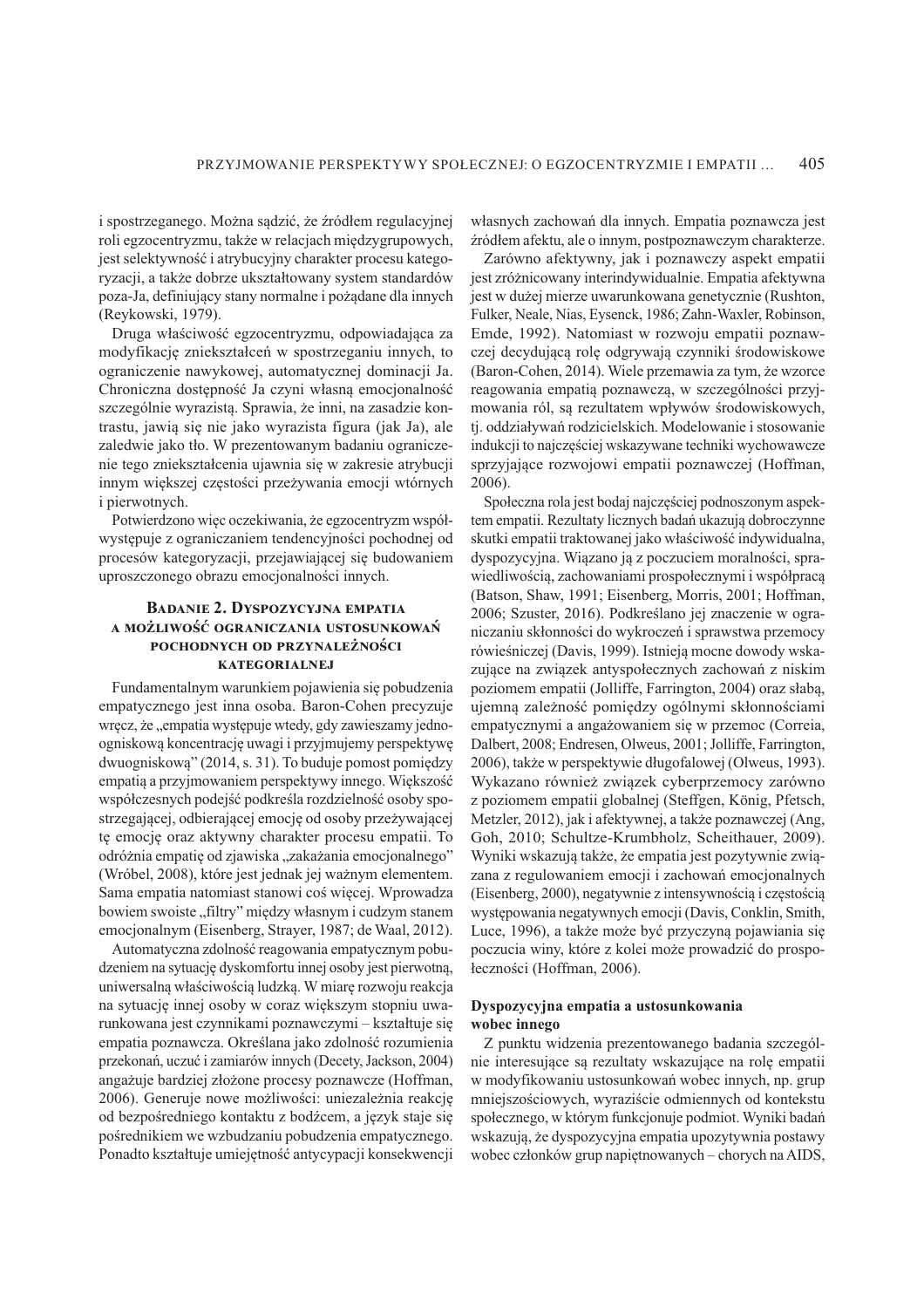i spostrzeganego. Można sądzić, że źródłem regulacyjnej roli egzocentryzmu, także w relacjach międzygrupowych, jest selektywność i atrybucyjny charakter procesu kategoryzacji, a także dobrze ukształtowany system standardów poza-Ja, definiujący stany normalne i pożądane dla innych (Reykowski, 1979).

Druga właściwość egzocentryzmu, odpowiadająca za modyfikację zniekształceń w spostrzeganiu innych, to ograniczenie nawykowej, automatycznej dominacji Ja. Chroniczna dostępność Ja czyni własną emocjonalność szczególnie wyrazistą. Sprawia, że inni, na zasadzie kontrastu, jawią się nie jako wyrazista figura (jak Ja), ale zaledwie jako tło. W prezentowanym badaniu ograniczenie tego zniekształcenia ujawnia się w zakresie atrybucji innym większej częstości przeżywania emocji wtórnych i pierwotnych.

Potwierdzono więc oczekiwania, że egzocentryzm współwystępuje z ograniczaniem tendencyjności pochodnej od procesów kategoryzacji, przejawiającej się budowaniem uproszczonego obrazu emocjonalności innych.

### **BADANIE 2. DYSPOZYCYJNA EMPATIA** A MOŻLIWOŚĆ OGRANICZANIA USTOSUNKOWAŃ POCHODNYCH OD PRZYNALEŻNOŚCI **KATEGORIALNEJ**

Fundamentalnym warunkiem pojawienia się pobudzenia empatycznego jest inna osoba. Baron-Cohen precyzuje wręcz, że "empatia występuje wtedy, gdy zawieszamy jednoogniskową koncentrację uwagi i przyjmujemy perspektywę dwuogniskową" (2014, s. 31). To buduje pomost pomiędzy empatią a przyjmowaniem perspektywy innego. Większość współczesnych podejść podkreśla rozdzielność osoby spostrzegającej, odbierającej emocję od osoby przeżywającej tę emocję oraz aktywny charakter procesu empatii. To odróżnia empatię od zjawiska "zakażania emocjonalnego" (Wróbel, 2008), które jest jednak jej ważnym elementem. Sama empatia natomiast stanowi coś więcej. Wprowadza bowiem swoiste "filtry" między własnym i cudzym stanem emocjonalnym (Eisenberg, Strayer, 1987; de Waal, 2012).

Automatyczna zdolność reagowania empatycznym pobudzeniem na sytuację dyskomfortu innej osoby jest pierwotną, uniwersalną właściwością ludzką. W miarę rozwoju reakcja na sytuację innej osoby w coraz większym stopniu uwarunkowana jest czynnikami poznawczymi – kształtuje się empatia poznawcza. Określana jako zdolność rozumienia przekonań, uczuć i zamiarów innych (Decety, Jackson, 2004) angażuje bardziej złożone procesy poznawcze (Hoffman, 2006). Generuje nowe możliwości: uniezależnia reakcie od bezpośredniego kontaktu z bodźcem, a język staje się pośrednikiem we wzbudzaniu pobudzenia empatycznego. Ponadto kształtuje umiejętność antycypacji konsekwencji własnych zachowań dla innych. Empatia poznawcza jest źródłem afektu, ale o innym, postpoznawczym charakterze.

Zarówno afektywny, jak i poznawczy aspekt empatii jest zróżnicowany interindywidualnie. Empatia afektywna jest w dużej mierze uwarunkowana genetycznie (Rushton, Fulker, Neale, Nias, Eysenck, 1986; Zahn-Waxler, Robinson, Emde, 1992). Natomiast w rozwoju empatii poznawczej decydującą rolę odgrywają czynniki środowiskowe (Baron-Cohen, 2014). Wiele przemawia za tym, że wzorce reagowania empatią poznawczą, w szczególności przyjmowania ról, są rezultatem wpływów środowiskowych, tj. oddziaływań rodzicielskich. Modelowanie i stosowanie indukcji to najczęściej wskazywane techniki wychowawcze sprzyjające rozwojowi empatii poznawczej (Hoffman,  $2006$ ).

Społeczna rola jest bodaj najczęściej podnoszonym aspektem empatii. Rezultaty licznych badań ukazują dobroczynne skutki empatii traktowanej jako właściwość indywidualna, dyspozycyjna. Wiazano ja z poczuciem moralności, sprawiedliwością, zachowaniami prospołecznymi i współpracą (Batson, Shaw, 1991; Eisenberg, Morris, 2001; Hoffman, 2006; Szuster, 2016). Podkreślano jej znaczenie w ograniczaniu skłonności do wykroczeń i sprawstwa przemocy rówieśniczej (Davis, 1999). Istnieją mocne dowody wskazujące na związek antyspołecznych zachowań z niskim poziomem empatii (Jolliffe, Farrington, 2004) oraz słabą, ujemna zależność pomiedzy ogólnymi skłonnościami empatycznymi a angażowaniem się w przemoc (Correia, Dalbert, 2008; Endresen, Olweus, 2001; Jolliffe, Farrington, 2006), także w perspektywie długofalowej (Olweus, 1993). Wykazano również związek cyberprzemocy zarówno z poziomem empatii globalnej (Steffgen, König, Pfetsch, Metzler, 2012), jak i afektywnej, a także poznawczej (Ang, Goh, 2010; Schultze-Krumbholz, Scheithauer, 2009). Wyniki wskazują także, że empatia jest pozytywnie związana z regulowaniem emocji i zachowań emocjonalnych (Eisenberg, 2000), negatywnie z intensywnością i częstością występowania negatywnych emocji (Davis, Conklin, Smith, Luce, 1996), a także może być przyczyną pojawiania się poczucia winy, które z kolei może prowadzić do prospołeczności (Hoffman, 2006).

### Dyspozycyjna empatia a ustosunkowania wobec innego

Z punktu widzenia prezentowanego badania szczególnie interesujące są rezultaty wskazujące na rolę empatii w modyfikowaniu ustosunkowań wobec innych, np. grup mniejszościowych, wyraziście odmiennych od kontekstu społecznego, w którym funkcjonuje podmiot. Wyniki badań wskazują, że dyspozycyjna empatia upozytywnia postawy wobec członków grup napiętnowanych – chorych na AIDS,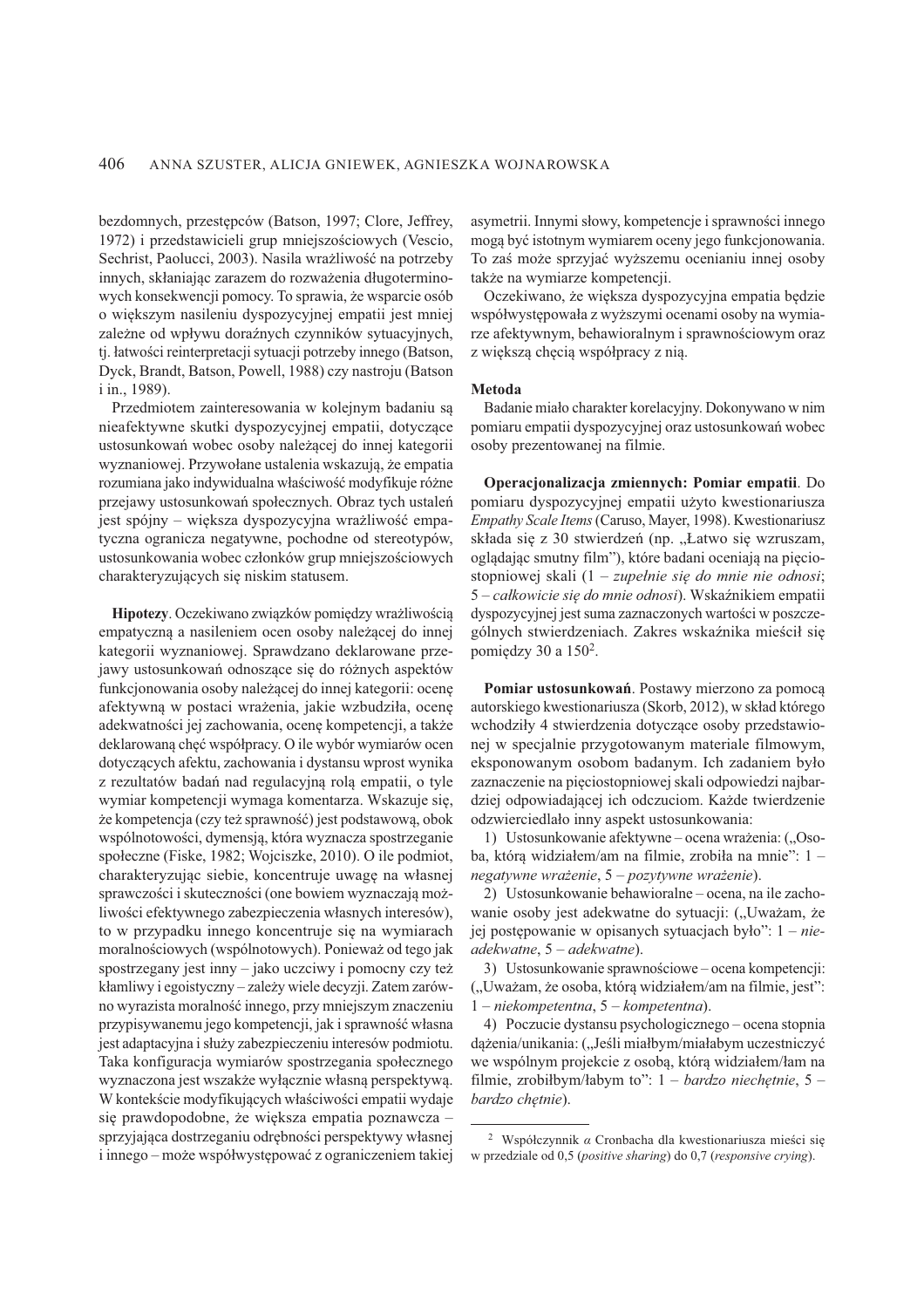bezdomnych, przestępców (Batson, 1997; Clore, Jeffrey, 1972) i przedstawicieli grup mniejszościowych (Vescio, Sechrist, Paolucci, 2003). Nasila wrażliwość na potrzeby innych, skłaniając zarazem do rozważenia długoterminowych konsekwencji pomocy. To sprawia, że wsparcie osób o większym nasileniu dyspozycyjnej empatii jest mniej zależne od wpływu doraźnych czynników sytuacyjnych, tj. łatwości reinterpretacji sytuacji potrzeby innego (Batson, Dyck, Brandt, Batson, Powell, 1988) czy nastroju (Batson i in., 1989).

Przedmiotem zainteresowania w kolejnym badaniu są nieafektywne skutki dyspozycyjnej empatii, dotyczące ustosunkowań wobec osoby należącej do innej kategorii wyznaniowej. Przywołane ustalenia wskazują, że empatia rozumiana jako indywidualna właściwość modyfikuje różne przejawy ustosunkowań społecznych. Obraz tych ustaleń jest spójny – większa dyspozycyjna wrażliwość empatyczna ogranicza negatywne, pochodne od stereotypów, ustosunkowania wobec członków grup mniejszościowych charakteryzujących się niskim statusem.

Hipotezy. Oczekiwano związków pomiędzy wrażliwością empatyczna a nasileniem ocen osoby należącej do innej kategorii wyznaniowej. Sprawdzano deklarowane przejawy ustosunkowań odnoszące się do różnych aspektów funkcjonowania osoby należącej do innej kategorii: ocenę afektywna w postaci wrażenia, jakie wzbudziła, ocene adekwatności jej zachowania, ocenę kompetencji, a także deklarowaną chęć współpracy. O ile wybór wymiarów ocen dotyczących afektu, zachowania i dystansu wprost wynika z rezultatów badań nad regulacyjną rolą empatii, o tyle wymiar kompetencji wymaga komentarza. Wskazuje się, że kompetencja (czy też sprawność) jest podstawową, obok wspólnotowości, dymensją, która wyznacza spostrzeganie społeczne (Fiske, 1982; Wojciszke, 2010). O ile podmiot, charakteryzując siebie, koncentruje uwagę na własnej sprawczości i skuteczności (one bowiem wyznaczają możliwości efektywnego zabezpieczenia własnych interesów), to w przypadku innego koncentruje się na wymiarach moralnościowych (wspólnotowych). Ponieważ od tego jak spostrzegany jest inny – jako uczciwy i pomocny czy też kłamliwy i egoistyczny – zależy wiele decyzji. Zatem zarówno wyrazista moralność innego, przy mniejszym znaczeniu przypisywanemu jego kompetencji, jak i sprawność własna jest adaptacyjna i służy zabezpieczeniu interesów podmiotu. Taka konfiguracja wymiarów spostrzegania społecznego wyznaczona jest wszakże wyłacznie własna perspektywa. W kontekście modyfikujących właściwości empatii wydaje się prawdopodobne, że większa empatia poznawcza sprzyjająca dostrzeganiu odrębności perspektywy własnej i innego – może współwystępować z ograniczeniem takiej asymetrii. Innymi słowy, kompetencje i sprawności innego mogą być istotnym wymiarem oceny jego funkcjonowania. To zaś może sprzyjać wyższemu ocenianiu innej osoby także na wymiarze kompetencji.

Oczekiwano, że większa dyspozycyjna empatia będzie współwystępowała z wyższymi ocenami osoby na wymiarze afektywnym, behawioralnym i sprawnościowym oraz z większą chęcią współpracy z nią.

### **Metoda**

Badanie miało charakter korelacyjny. Dokonywano w nim pomiaru empatii dyspozycyjnej oraz ustosunkowań wobec osoby prezentowanej na filmie.

Operacjonalizacja zmiennych: Pomiar empatii. Do pomiaru dyspozycyjnej empatii użyto kwestionariusza Empathy Scale Items (Caruso, Mayer, 1998). Kwestionariusz składa się z 30 stwierdzeń (np. "Łatwo się wzruszam, ogladając smutny film"), które badani oceniają na pieciostopniowej skali (1 – zupełnie się do mnie nie odnosi; 5 – całkowicie się do mnie odnosi). Wskaźnikiem empatii dyspozycyjnej jest suma zaznaczonych wartości w poszczególnych stwierdzeniach. Zakres wskaźnika mieścił się pomiędzy 30 a 150<sup>2</sup>.

Pomiar ustosunkowań. Postawy mierzono za pomocą autorskiego kwestionariusza (Skorb, 2012), w skład którego wchodziły 4 stwierdzenia dotyczące osoby przedstawionei w specialnie przygotowanym materiale filmowym. eksponowanym osobom badanym. Ich zadaniem było zaznaczenie na pięciostopniowej skali odpowiedzi najbardziej odpowiadającej ich odczuciom. Każde twierdzenie odzwierciedlało inny aspekt ustosunkowania:

1) Ustosunkowanie afektywne – ocena wrażenia: ("Osoba, którą widziałem/am na filmie, zrobiła na mnie": 1 negatywne wrażenie,  $5 -$  pozytywne wrażenie).

2) Ustosunkowanie behawioralne – ocena, na ile zachowanie osoby jest adekwatne do sytuacji: ("Uważam, że jej postępowanie w opisanych sytuacjach było":  $1 - nie$ adekwatne, 5 – adekwatne).

3) Ustosunkowanie sprawnościowe – ocena kompetencji: ("Uważam, że osoba, którą widziałem/am na filmie, jest":  $1 - niekompetentna, 5 - kompetentna).$ 

4) Poczucie dystansu psychologicznego – ocena stopnia dążenia/unikania: ("Jeśli miałbym/miałabym uczestniczyć we wspólnym projekcie z osobą, którą widziałem/łam na filmie, zrobiłbym/łabym to":  $1 -$  bardzo niechetnie, 5 – bardzo chetnie).

<sup>&</sup>lt;sup>2</sup> Współczynnik  $\alpha$  Cronbacha dla kwestionariusza mieści się w przedziale od 0,5 (positive sharing) do 0,7 (responsive crying).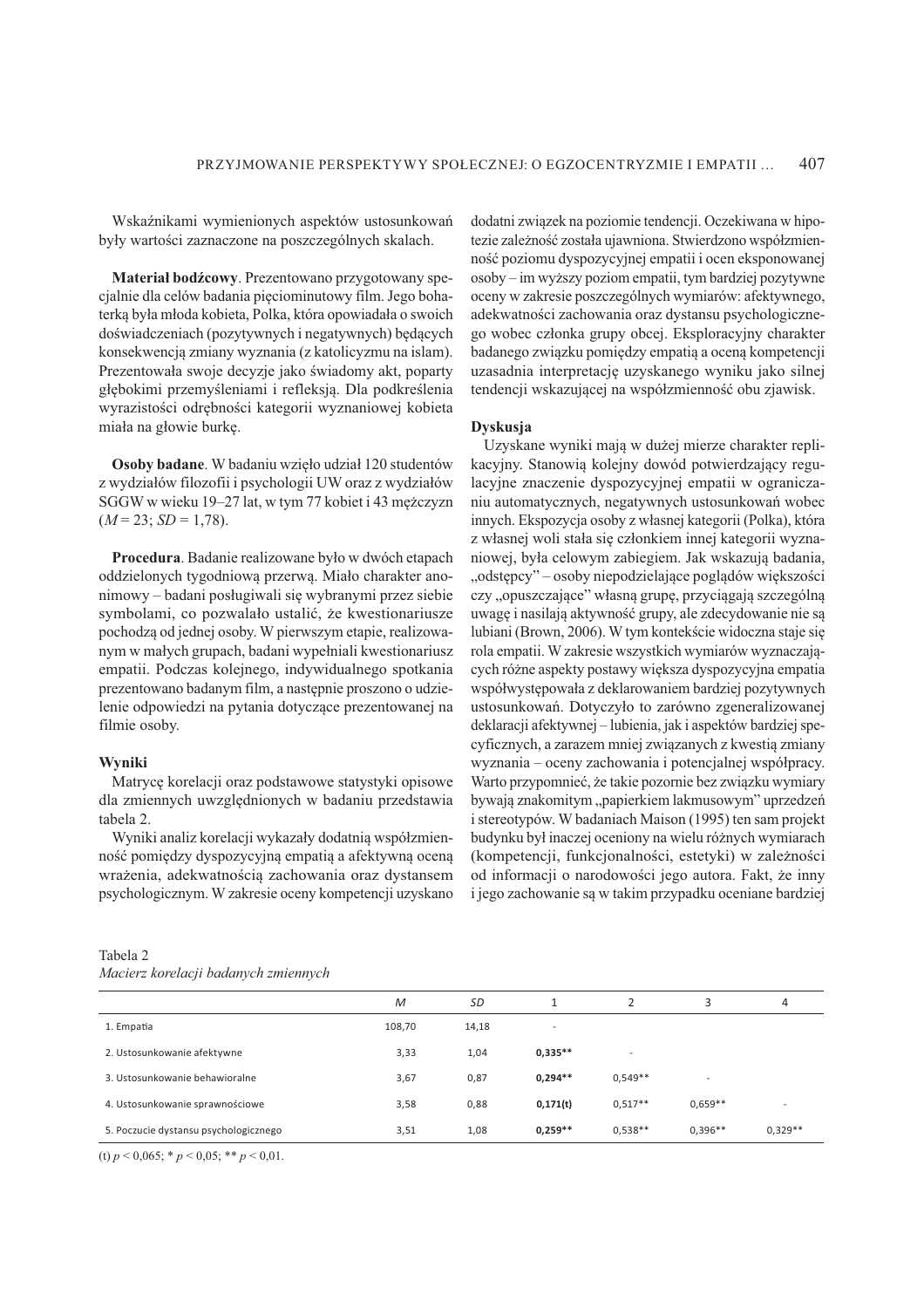Wskaźnikami wymienionych aspektów ustosunkowań były wartości zaznaczone na poszczególnych skalach.

Materiał bodźcowy. Prezentowano przygotowany specjalnie dla celów badania pięciominutowy film. Jego bohaterką była młoda kobieta, Polka, która opowiadała o swoich doświadczeniach (pozytywnych i negatywnych) będących konsekwencją zmiany wyznania (z katolicyzmu na islam). Prezentowała swoje decyzje jako świadomy akt, poparty głębokimi przemyśleniami i refleksją. Dla podkreślenia wyrazistości odrębności kategorii wyznaniowej kobieta miała na głowie burkę.

Osoby badane. W badaniu wzięło udział 120 studentów z wydziałów filozofii i psychologii UW oraz z wydziałów SGGW w wieku 19-27 lat, w tym 77 kobiet i 43 mężczyzn  $(M = 23; SD = 1,78).$ 

Procedura. Badanie realizowane było w dwóch etapach oddzielonych tygodniową przerwą. Miało charakter anonimowy – badani posługiwali się wybranymi przez siebie symbolami, co pozwalało ustalić, że kwestionariusze pochodzą od jednej osoby. W pierwszym etapie, realizowanym w małych grupach, badani wypełniali kwestionariusz empatii. Podczas kolejnego, indywidualnego spotkania prezentowano badanym film, a następnie proszono o udzielenie odpowiedzi na pytania dotyczące prezentowanej na filmie osoby.

#### Wvniki

Matrycę korelacji oraz podstawowe statystyki opisowe dla zmiennych uwzględnionych w badaniu przedstawia tabela 2.

Wyniki analiz korelacji wykazały dodatnią współzmienność pomiędzy dyspozycyjną empatią a afektywną oceną wrażenia, adekwatnością zachowania oraz dystansem psychologicznym. W zakresie oceny kompetencji uzyskano dodatni związek na poziomie tendencji. Oczekiwana w hipotezie zależność została ujawniona. Stwierdzono współzmienność poziomu dyspozycyjnej empatii i ocen eksponowanej osoby – im wyższy poziom empatii, tym bardziej pozytywne oceny w zakresie poszczególnych wymiarów: afektywnego, adekwatności zachowania oraz dystansu psychologicznego wobec członka grupy obcej. Eksploracyjny charakter badanego związku pomiędzy empatią a oceną kompetencji uzasadnia interpretacje uzyskanego wyniku jako silnej tendencji wskazującej na współzmienność obu zjawisk.

#### **Dyskusja**

Uzyskane wyniki mają w dużej mierze charakter replikacyjny. Stanowią kolejny dowód potwierdzający regulacyjne znaczenie dyspozycyjnej empatii w ograniczaniu automatycznych, negatywnych ustosunkowań wobec innych. Ekspozycja osoby z własnej kategorii (Polka), która z własnej woli stała się członkiem innej kategorii wyznaniowej, była celowym zabiegiem. Jak wskazuja badania, "odstępcy" – osoby niepodzielające poglądów większości czy, "opuszczające" własną grupę, przyciągają szczególną uwagę i nasilają aktywność grupy, ale zdecydowanie nie są lubiani (Brown, 2006). W tym kontekście widoczna staje się rola empatii. W zakresie wszystkich wymiarów wyznaczających różne aspekty postawy większa dyspozycyjna empatia współwystępowała z deklarowaniem bardziej pozytywnych ustosunkowań. Dotyczyło to zarówno zgeneralizowanej deklaracji afektywnej – lubienia, jak i aspektów bardziej specyficznych, a zarazem mniej związanych z kwestią zmiany wyznania – oceny zachowania i potencialnej współpracy. Warto przypomnieć, że takie pozornie bez związku wymiary bywają znakomitym "papierkiem lakmusowym" uprzedzeń i stereotypów. W badaniach Maison (1995) ten sam projekt budynku był inaczej oceniony na wielu różnych wymiarach (kompetencji, funkcjonalności, estetyki) w zależności od informacji o narodowości jego autora. Fakt, że inny i jego zachowanie są w takim przypadku oceniane bardziej

| Tabela 2                             |  |
|--------------------------------------|--|
| Macierz korelacji badanych zmiennych |  |

|                                       | M      | SD    |           |           | 3         | 4         |
|---------------------------------------|--------|-------|-----------|-----------|-----------|-----------|
| 1. Empatia                            | 108,70 | 14,18 | ٠         |           |           |           |
| 2. Ustosunkowanie afektywne           | 3,33   | 1,04  | $0,335**$ |           |           |           |
| 3. Ustosunkowanie behawioralne        | 3,67   | 0,87  | $0,294**$ | $0.549**$ | ۰         |           |
| 4. Ustosunkowanie sprawnościowe       | 3,58   | 0,88  | 0,171(t)  | $0.517**$ | $0.659**$ |           |
| 5. Poczucie dystansu psychologicznego | 3,51   | 1,08  | $0,259**$ | $0.538**$ | $0,396**$ | $0,329**$ |

(t)  $p < 0.065$ ; \*  $p < 0.05$ ; \*\*  $p < 0.01$ .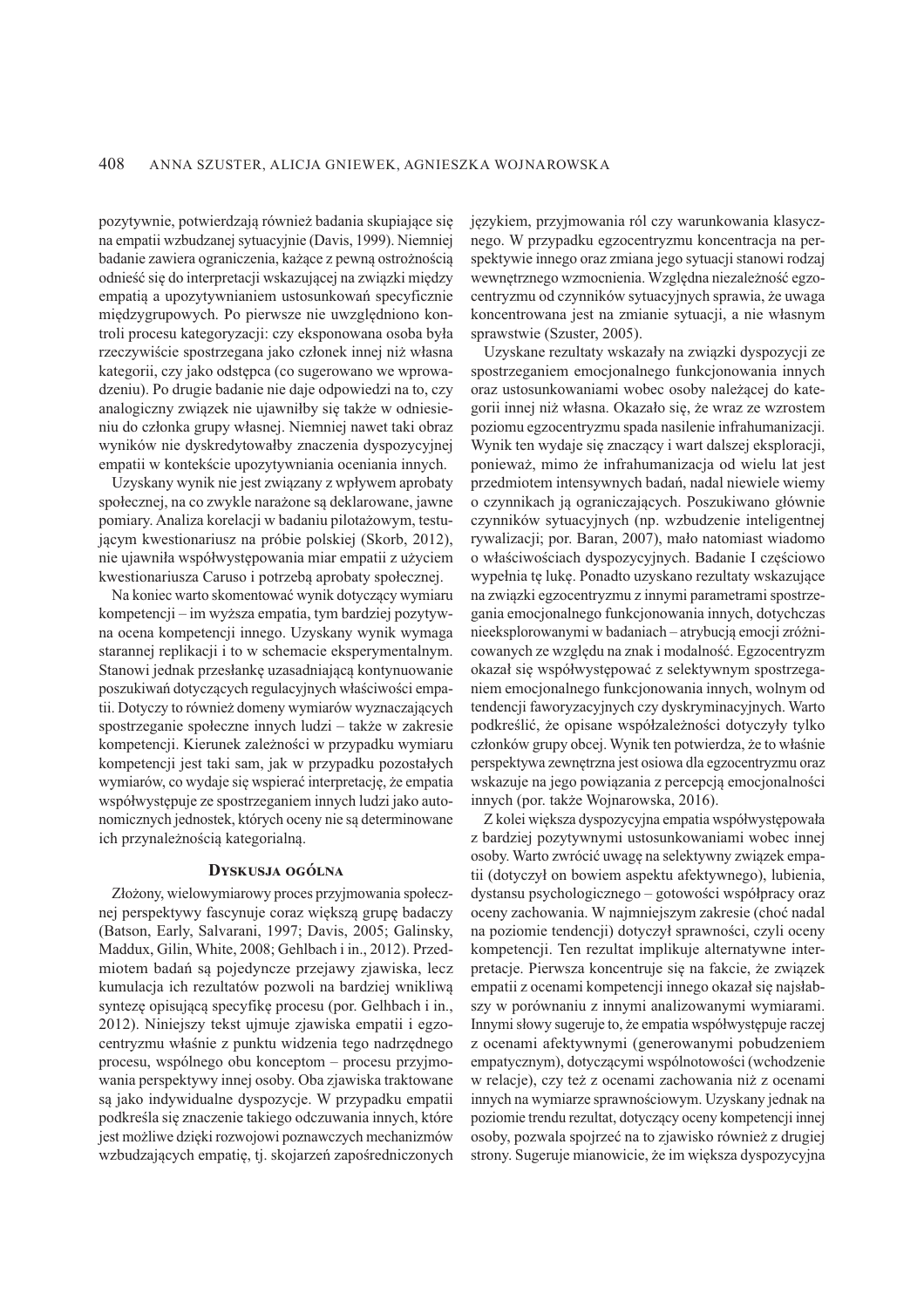pozytywnie, potwierdzają również badania skupiające się na empatii wzbudzanej sytuacyjnie (Davis, 1999). Niemniej badanie zawiera ograniczenia, każące z pewną ostrożnością odnieść się do interpretacji wskazującej na związki między empatią a upozytywnianiem ustosunkowań specyficznie międzygrupowych. Po pierwsze nie uwzględniono kontroli procesu kategoryzacji: czy eksponowana osoba była rzeczywiście spostrzegana jako członek innej niż własna kategorii, czy jako odstępca (co sugerowano we wprowadzeniu). Po drugie badanie nie daje odpowiedzi na to, czy analogiczny związek nie ujawniłby się także w odniesieniu do członka grupy własnej. Niemniej nawet taki obraz wyników nie dyskredytowałby znaczenia dyspozycyjnej empatii w kontekście upozytywniania oceniania innych.

Uzyskany wynik nie jest związany z wpływem aprobaty społecznej, na co zwykle narażone są deklarowane, jawne pomiary. Analiza korelacji w badaniu pilotażowym, testującym kwestionariusz na próbie polskiej (Skorb, 2012), nie ujawniła współwystepowania miar empatii z użyciem kwestionariusza Caruso i potrzebą aprobaty społecznej.

Na koniec warto skomentować wynik dotyczący wymiaru kompetencji – im wyższa empatia, tym bardziej pozytywna ocena kompetencji innego. Uzyskany wynik wymaga starannej replikacji i to w schemacie eksperymentalnym. Stanowi jednak przesłankę uzasadniającą kontynuowanie poszukiwań dotyczących regulacyjnych właściwości empatii. Dotyczy to również domeny wymiarów wyznaczających spostrzeganie społeczne innych ludzi – także w zakresie kompetencji. Kierunek zależności w przypadku wymiaru kompetencji jest taki sam, jak w przypadku pozostałych wymiarów, co wydaje się wspierać interpretację, że empatia współwystępuje ze spostrzeganiem innych ludzi jako autonomicznych jednostek, których oceny nie są determinowane ich przynależnością kategorialną.

#### DYSKUSJA OGÓLNA

Złożony, wielowymiarowy proces przyjmowania społecznej perspektywy fascynuje coraz większą grupę badaczy (Batson, Early, Salvarani, 1997; Davis, 2005; Galinsky, Maddux, Gilin, White, 2008; Gehlbach i in., 2012). Przedmiotem badań są pojedyncze przejawy zjawiska, lecz kumulacja ich rezultatów pozwoli na bardziej wnikliwą syntezę opisującą specyfikę procesu (por. Gelhbach i in., 2012). Niniejszy tekst ujmuje zjawiska empatii i egzocentryzmu właśnie z punktu widzenia tego nadrzędnego procesu, wspólnego obu konceptom – procesu przyjmowania perspektywy innej osoby. Oba zjawiska traktowane są jako indywidualne dyspozycje. W przypadku empatii podkreśla się znaczenie takiego odczuwania innych, które jest możliwe dzięki rozwojowi poznawczych mechanizmów wzbudzających empatię, tj. skojarzeń zapośredniczonych językiem, przyjmowania ról czy warunkowania klasycznego. W przypadku egzocentryzmu koncentracja na perspektywie innego oraz zmiana jego sytuacji stanowi rodzaj wewnętrznego wzmocnienia. Względna niezależność egzocentryzmu od czynników sytuacyjnych sprawia, że uwaga koncentrowana jest na zmianie sytuacji, a nie własnym sprawstwie (Szuster, 2005).

Uzyskane rezultaty wskazały na związki dyspozycji ze spostrzeganiem emocjonalnego funkcjonowania innych oraz ustosunkowaniami wobec osoby należącej do kategorii innej niż własna. Okazało się, że wraz ze wzrostem poziomu egzocentryzmu spada nasilenie infrahumanizacji. Wynik ten wydaje się znaczący i wart dalszej eksploracji, ponieważ, mimo że infrahumanizacja od wielu lat jest przedmiotem intensywnych badań, nadal niewiele wiemy o czynnikach ją ograniczających. Poszukiwano głównie czynników sytuacyjnych (np. wzbudzenie inteligentnej rywalizacji; por. Baran, 2007), mało natomiast wiadomo o właściwościach dyspozycyjnych. Badanie I częściowo wypełnia tę lukę. Ponadto uzyskano rezultaty wskazujące na związki egzocentryzmu z innymi parametrami spostrzegania emocjonalnego funkcjonowania innych, dotychczas nieeksplorowanymi w badaniach – atrybucją emocji zróżnicowanych ze względu na znak i modalność. Egzocentryzm okazał się współwystępować z selektywnym spostrzeganiem emocjonalnego funkcjonowania innych, wolnym od tendencii faworyzacyjnych czy dyskryminacyjnych. Warto podkreślić, że opisane współzależności dotyczyły tylko członków grupy obcej. Wynik ten potwierdza, że to właśnie perspektywa zewnętrzna jest osiowa dla egzocentryzmu oraz wskazuje na jego powiązania z percepcją emocjonalności innych (por. także Wojnarowska, 2016).

Z kolei większa dyspozycyjna empatia współwystępowała z bardziej pozytywnymi ustosunkowaniami wobec innej osoby. Warto zwrócić uwagę na selektywny związek empatii (dotyczył on bowiem aspektu afektywnego), lubienia, dystansu psychologicznego – gotowości współpracy oraz oceny zachowania. W najmniejszym zakresie (choć nadal na poziomie tendencji) dotyczył sprawności, czyli oceny kompetencji. Ten rezultat implikuje alternatywne interpretacje. Pierwsza koncentruje się na fakcie, że związek empatii z ocenami kompetencji innego okazał się najsłabszy w porównaniu z innymi analizowanymi wymiarami. Innymi słowy sugeruje to, że empatia współwystępuje raczej z ocenami afektywnymi (generowanymi pobudzeniem empatycznym), dotyczącymi wspólnotowości (wchodzenie w relacje), czy też z ocenami zachowania niż z ocenami innych na wymiarze sprawnościowym. Uzyskany jednak na poziomie trendu rezultat, dotyczący oceny kompetencji innej osoby, pozwala spojrzeć na to zjawisko również z drugiej strony. Sugeruje mianowicie, że im większa dyspozycyjna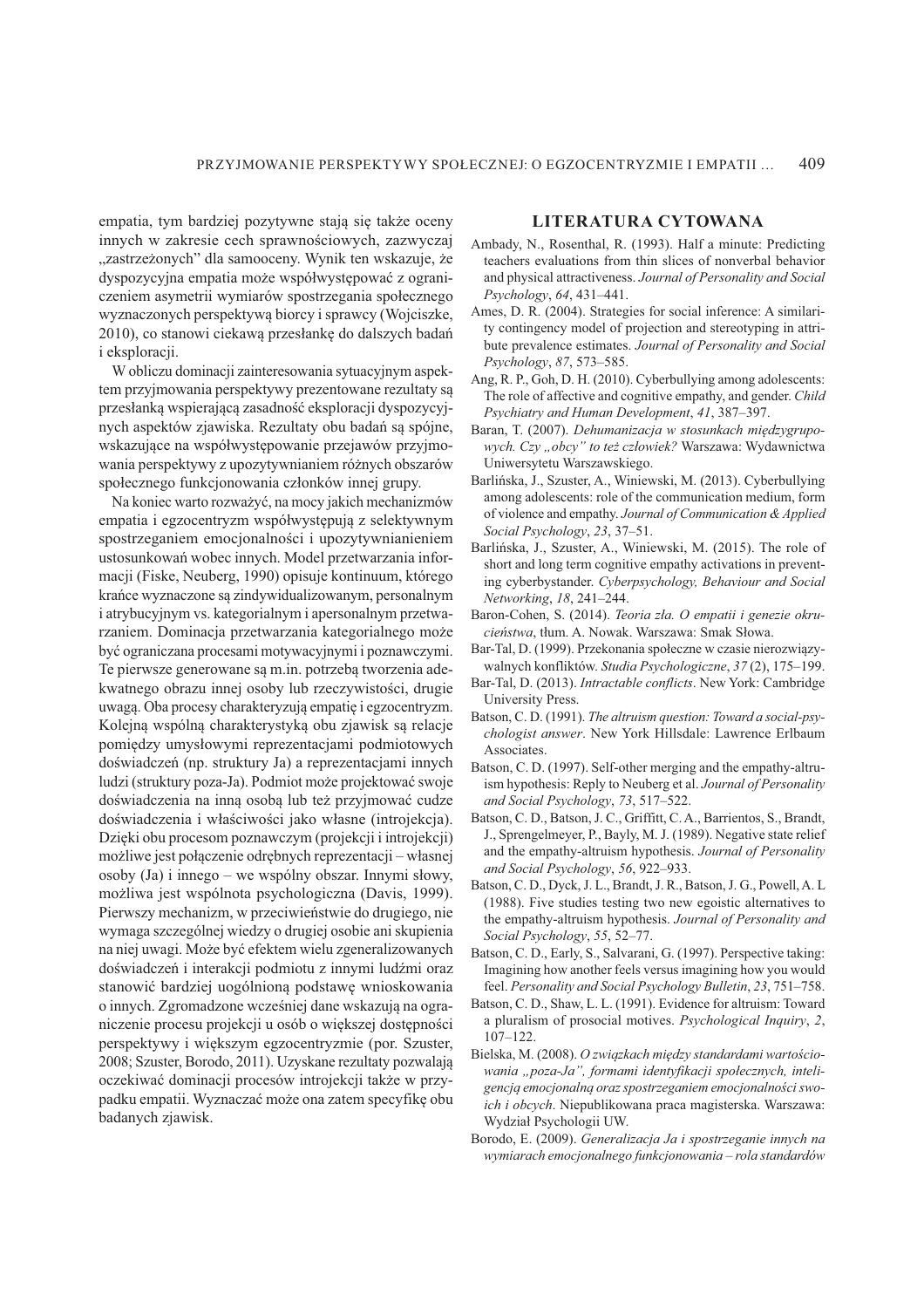empatia, tym bardziej pozytywne stają się także oceny innych w zakresie cech sprawnościowych, zazwyczaj "zastrzeżonych" dla samooceny. Wynik ten wskazuje, że dyspozycyjna empatia może współwystępować z ograniczeniem asymetrii wymiarów spostrzegania społecznego wyznaczonych perspektywą biorcy i sprawcy (Wojciszke, 2010), co stanowi ciekawą przesłankę do dalszych badań *i* eksploracji.

W obliczu dominacji zainteresowania sytuacyjnym aspektem przyjmowania perspektywy prezentowane rezultaty są przesłanką wspierającą zasadność eksploracji dyspozycyjnych aspektów zjawiska. Rezultaty obu badań sa spójne, wskazujące na współwystępowanie przejawów przyjmowania perspektywy z upozytywnianiem różnych obszarów społecznego funkcjonowania członków innej grupy.

Na koniec warto rozważyć, na mocy jakich mechanizmów empatia i egzocentryzm współwystępują z selektywnym spostrzeganiem emocjonalności i upozytywnianieniem ustosunkowań wobec innych. Model przetwarzania informacji (Fiske, Neuberg, 1990) opisuje kontinuum, którego krańce wyznaczone są zindywidualizowanym, personalnym i atrybucyjnym vs. kategorialnym i apersonalnym przetwarzaniem. Dominacja przetwarzania kategorialnego może być ograniczana procesami motywacyjnymi i poznawczymi. Te pierwsze generowane są m.in. potrzebą tworzenia adekwatnego obrazu innej osoby lub rzeczywistości, drugie uwagą. Oba procesy charakteryzują empatię i egzocentryzm. Kolejną wspólną charakterystyką obu zjawisk są relacje pomiędzy umysłowymi reprezentacjami podmiotowych doświadczeń (np. struktury Ja) a reprezentaciami innych ludzi (struktury poza-Ja). Podmiot może projektować swoje doświadczenia na inną osobą lub też przyjmować cudze doświadczenia i właściwości jako własne (introjekcja). Dzięki obu procesom poznawczym (projekcji i introjekcji) możliwe jest połączenie odrębnych reprezentacji – własnej osoby (Ja) i innego – we wspólny obszar. Innymi słowy, możliwa jest wspólnota psychologiczna (Davis, 1999). Pierwszy mechanizm, w przeciwieństwie do drugiego, nie wymaga szczególnej wiedzy o drugiej osobie ani skupienia na niej uwagi. Może być efektem wielu zgeneralizowanych doświadczeń i interakcji podmiotu z innymi ludźmi oraz stanowić bardziej uogólnioną podstawę wnioskowania o innych. Zgromadzone wcześniej dane wskazują na ograniczenie procesu projekcji u osób o większej dostępności perspektywy i większym egzocentryzmie (por. Szuster, 2008; Szuster, Borodo, 2011). Uzyskane rezultaty pozwalają oczekiwać dominacji procesów introjekcji także w przypadku empatii. Wyznaczać może ona zatem specyfikę obu badanych zjawisk.

#### LITERATURA CYTOWANA

- Ambady, N., Rosenthal, R. (1993). Half a minute: Predicting teachers evaluations from thin slices of nonverbal behavior and physical attractiveness. Journal of Personality and Social Psychology, 64, 431-441.
- Ames, D. R. (2004). Strategies for social inference: A similarity contingency model of projection and stereotyping in attribute prevalence estimates. Journal of Personality and Social Psychology, 87, 573-585.
- Ang, R. P., Goh, D. H. (2010). Cyberbullying among adolescents: The role of affective and cognitive empathy, and gender. Child Psychiatry and Human Development, 41, 387-397.
- Baran, T. (2007). Dehumanizacja w stosunkach międzygrupowych. Czy "obcy" to też człowiek? Warszawa: Wydawnictwa Uniwersytetu Warszawskiego.
- Barlińska, J., Szuster, A., Winiewski, M. (2013). Cyberbullying among adolescents: role of the communication medium, form of violence and empathy. Journal of Communication & Applied Social Psychology, 23, 37-51.
- Barlińska, J., Szuster, A., Winiewski, M. (2015). The role of short and long term cognitive empathy activations in preventing cyberbystander. Cyberpsychology, Behaviour and Social Networking, 18, 241-244.
- Baron-Cohen, S. (2014). Teoria zła. O empatii i genezie okrucieństwa, tłum. A. Nowak. Warszawa: Smak Słowa.
- Bar-Tal, D. (1999). Przekonania społeczne w czasie nierozwiązywalnych konfliktów. Studia Psychologiczne, 37 (2), 175-199.
- Bar-Tal, D. (2013). Intractable conflicts. New York: Cambridge University Press.
- Batson, C.D. (1991). The altruism question: Toward a social-psychologist answer. New York Hillsdale: Lawrence Erlbaum Associates.
- Batson, C.D. (1997). Self-other merging and the empathy-altruism hypothesis: Reply to Neuberg et al. Journal of Personality and Social Psychology, 73, 517-522.
- Batson, C. D., Batson, J. C., Griffitt, C. A., Barrientos, S., Brandt, J., Sprengelmeyer, P., Bayly, M. J. (1989). Negative state relief and the empathy-altruism hypothesis. Journal of Personality and Social Psychology, 56, 922-933.
- Batson, C. D., Dyck, J. L., Brandt, J. R., Batson, J. G., Powell, A. L. (1988). Five studies testing two new egoistic alternatives to the empathy-altruism hypothesis. Journal of Personality and Social Psychology, 55, 52-77.
- Batson, C. D., Early, S., Salvarani, G. (1997). Perspective taking: Imagining how another feels versus imagining how you would feel. Personality and Social Psychology Bulletin, 23, 751-758.
- Batson, C. D., Shaw, L. L. (1991). Evidence for altruism: Toward a pluralism of prosocial motives. Psychological Inquiry, 2,  $107 - 122$ .
- Bielska, M. (2008). O związkach między standardami wartościowania "poza-Ja", formami identyfikacji społecznych, inteligencją emocjonalną oraz spostrzeganiem emocjonalności swoich i obcych. Niepublikowana praca magisterska. Warszawa: Wydział Psychologii UW.
- Borodo, E. (2009). Generalizacja Ja i spostrzeganie innych na wymiarach emocjonalnego funkcjonowania – rola standardów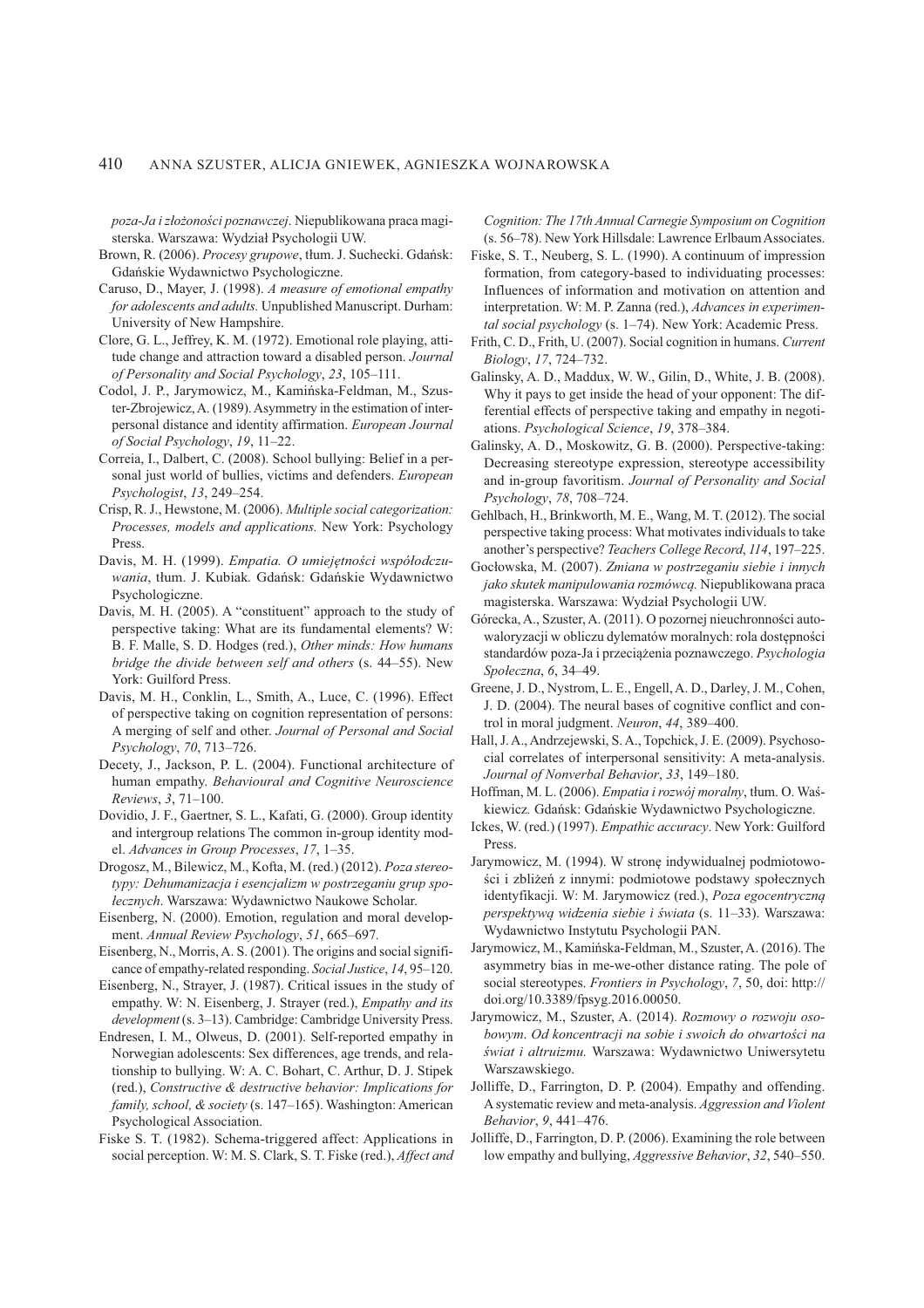poza-Ja i złożoności poznawczej. Niepublikowana praca magisterska. Warszawa: Wydział Psychologii UW.

- Brown, R. (2006). Procesy grupowe, tłum. J. Suchecki. Gdańsk: Gdańskie Wydawnictwo Psychologiczne.
- Caruso, D., Mayer, J. (1998). A measure of emotional empathy for adolescents and adults. Unpublished Manuscript. Durham: University of New Hampshire.
- Clore, G. L., Jeffrey, K. M. (1972). Emotional role playing, attitude change and attraction toward a disabled person. Journal of Personality and Social Psychology, 23, 105-111.
- Codol, J. P., Jarymowicz, M., Kamińska-Feldman, M., Szuster-Zbrojewicz, A. (1989). Asymmetry in the estimation of interpersonal distance and identity affirmation. European Journal of Social Psychology, 19, 11-22.
- Correia, I., Dalbert, C. (2008). School bullying: Belief in a personal just world of bullies, victims and defenders. European Psychologist, 13, 249-254.
- Crisp, R. J., Hewstone, M. (2006). Multiple social categorization: Processes, models and applications. New York: Psychology Press.
- Davis, M. H. (1999). Empatia. O umiejętności współodczuwania, tłum. J. Kubiak. Gdańsk: Gdańskie Wydawnictwo Psychologiczne.
- Davis, M. H. (2005). A "constituent" approach to the study of perspective taking: What are its fundamental elements? W: B. F. Malle, S. D. Hodges (red.), Other minds: How humans bridge the divide between self and others (s. 44–55). New York: Guilford Press.
- Davis, M. H., Conklin, L., Smith, A., Luce, C. (1996). Effect of perspective taking on cognition representation of persons: A merging of self and other. Journal of Personal and Social Psychology, 70, 713-726.
- Decety, J., Jackson, P. L. (2004). Functional architecture of human empathy. Behavioural and Cognitive Neuroscience Reviews, 3, 71-100.
- Dovidio, J. F., Gaertner, S. L., Kafati, G. (2000). Group identity and intergroup relations The common in-group identity model. Advances in Group Processes, 17, 1-35.
- Drogosz, M., Bilewicz, M., Kofta, M. (red.) (2012). Poza stereotypy: Dehumanizacja i esencjalizm w postrzeganiu grup społecznych. Warszawa: Wydawnictwo Naukowe Scholar.
- Eisenberg, N. (2000). Emotion, regulation and moral development. Annual Review Psychology, 51, 665-697.
- Eisenberg, N., Morris, A. S. (2001). The origins and social significance of empathy-related responding. Social Justice, 14, 95-120.
- Eisenberg, N., Strayer, J. (1987). Critical issues in the study of empathy. W: N. Eisenberg, J. Strayer (red.), Empathy and its development (s. 3–13). Cambridge: Cambridge University Press.
- Endresen, I. M., Olweus, D. (2001). Self-reported empathy in Norwegian adolescents: Sex differences, age trends, and relationship to bullying. W: A. C. Bohart, C. Arthur, D. J. Stipek (red.), Constructive & destructive behavior: Implications for family, school, & society (s. 147–165). Washington: American Psychological Association.
- Fiske S. T. (1982). Schema-triggered affect: Applications in social perception. W: M. S. Clark, S. T. Fiske (red.), Affect and

Cognition: The 17th Annual Carnegie Symposium on Cognition (s. 56–78). New York Hillsdale: Lawrence Erlbaum Associates.

- Fiske, S. T., Neuberg, S. L. (1990). A continuum of impression formation, from category-based to individuating processes: Influences of information and motivation on attention and interpretation. W: M. P. Zanna (red.), Advances in experimental social psychology (s. 1-74). New York: Academic Press.
- Frith, C. D., Frith, U. (2007). Social cognition in humans. Current Biology, 17, 724-732.
- Galinsky, A. D., Maddux, W. W., Gilin, D., White, J. B. (2008). Why it pays to get inside the head of your opponent: The differential effects of perspective taking and empathy in negotiations. Psychological Science, 19, 378-384.
- Galinsky, A. D., Moskowitz, G. B. (2000). Perspective-taking: Decreasing stereotype expression, stereotype accessibility and in-group favoritism. Journal of Personality and Social Psychology, 78, 708-724.
- Gehlbach, H., Brinkworth, M. E., Wang, M. T. (2012). The social perspective taking process: What motivates individuals to take another's perspective? Teachers College Record, 114, 197-225.
- Gocłowska, M. (2007). Zmiana w postrzeganiu siebie i innych jako skutek manipulowania rozmówcą. Niepublikowana praca magisterska. Warszawa: Wydział Psychologii UW.
- Górecka, A., Szuster, A. (2011). O pozornej nieuchronności autowaloryzacji w obliczu dylematów moralnych: rola dostępności standardów poza-Ja i przeciążenia poznawczego. Psychologia Społeczna, 6, 34-49.
- Greene, J. D., Nystrom, L. E., Engell, A. D., Darley, J. M., Cohen, J. D. (2004). The neural bases of cognitive conflict and control in moral judgment. Neuron, 44, 389-400.
- Hall, J. A., Andrzejewski, S. A., Topchick, J. E. (2009). Psychosocial correlates of interpersonal sensitivity: A meta-analysis. Journal of Nonverbal Behavior, 33, 149-180.
- Hoffman, M. L. (2006). *Empatia i rozwój moralny*, tłum. O. Waśkiewicz. Gdańsk: Gdańskie Wydawnictwo Psychologiczne.
- Ickes, W. (red.) (1997). *Empathic accuracy*. New York: Guilford Press.
- Jarymowicz, M. (1994). W stronę indywidualnej podmiotowości i zbliżeń z innymi: podmiotowe podstawy społecznych identyfikacji. W: M. Jarymowicz (red.), Poza egocentryczną perspektywą widzenia siebie i świata (s. 11-33). Warszawa: Wydawnictwo Instytutu Psychologii PAN.
- Jarymowicz, M., Kamińska-Feldman, M., Szuster, A. (2016). The asymmetry bias in me-we-other distance rating. The pole of social stereotypes. Frontiers in Psychology, 7, 50, doi: http:// doi.org/10.3389/fpsyg.2016.00050.
- Jarymowicz, M., Szuster, A. (2014). Rozmowy o rozwoju osobowym. Od koncentracji na sobie i swoich do otwartości na świat i altruizmu. Warszawa: Wydawnictwo Uniwersytetu Warszawskiego
- Jolliffe, D., Farrington, D. P. (2004). Empathy and offending. A systematic review and meta-analysis. Aggression and Violent Behavior, 9, 441-476.
- Jolliffe, D., Farrington, D. P. (2006). Examining the role between low empathy and bullying, *Aggressive Behavior*, 32, 540–550.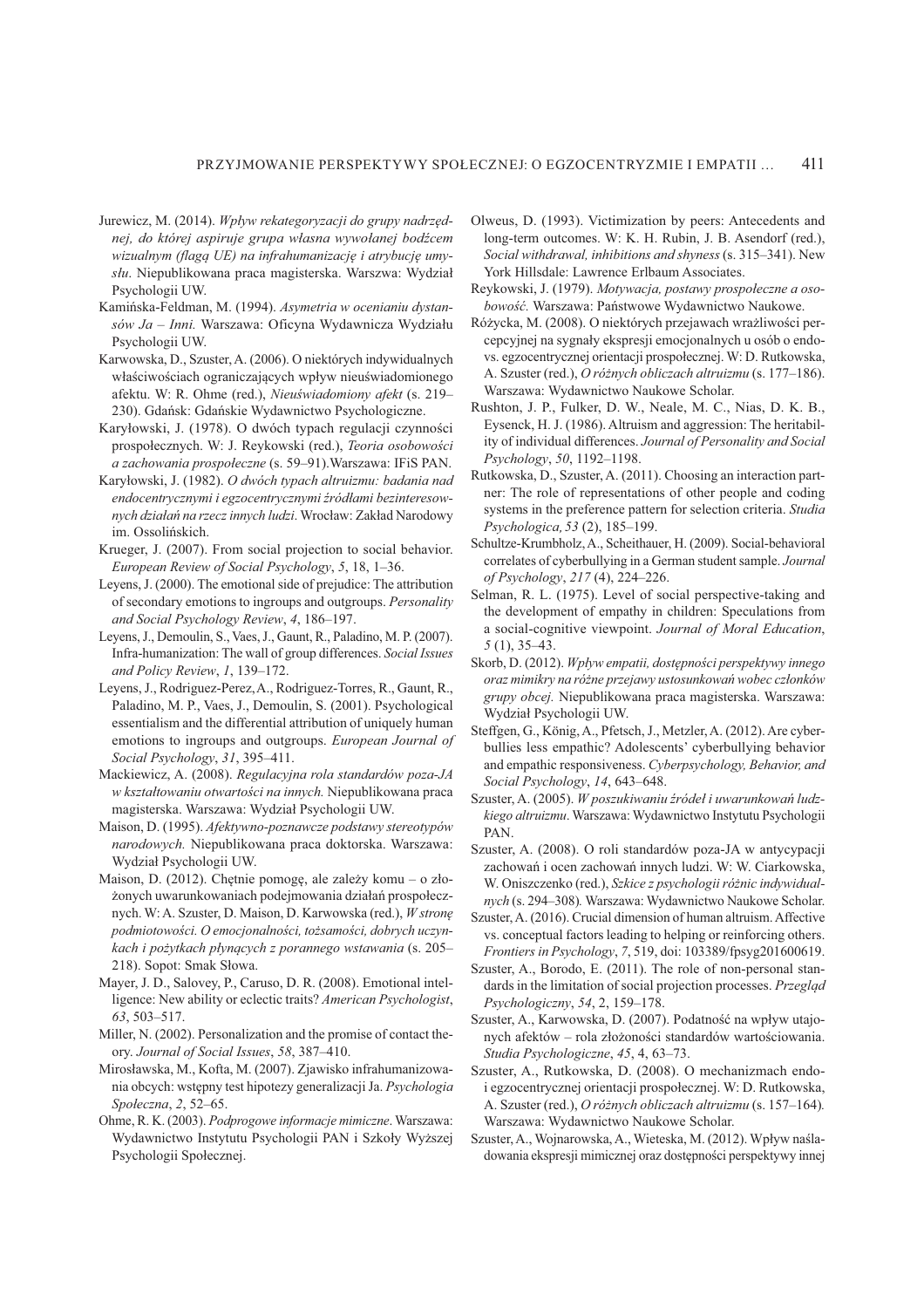- Jurewicz, M. (2014). Wpływ rekategoryzacji do grupy nadrzęd*nej, do której aspiruje grupa własna wywołanej bodźcem wizualnym (flagą UE) na infrahumanizację i atrybucję umy* $slu$ . Niepublikowana praca magisterska. Warszwa: Wydział Psychologii UW.
- Kamińska-Feldman, M. (1994). Asymetria w ocenianiu dystansów Ja - Inni. Warszawa: Oficyna Wydawnicza Wydziału Psychologii UW.
- Karwowska, D., Szuster, A. (2006). O niektórych indywidualnych właściwościach ograniczających wpływ nieuświadomionego afektu. W: R. Ohme (red.), Nieuświadomiony afekt (s. 219– 230). Gdańsk: Gdańskie Wydawnictwo Psychologiczne.
- Karyłowski, J. (1978). O dwóch typach regulacji czynności  $prospolecznych. W: J. Reykowski (red.), *Teoria osobowości*$ *a zachowania prospołeczne* (s. 59–91). Warszawa: IFiS PAN.
- Karyłowski, J. (1982). O dwóch typach altruizmu: badania nad *endocentrycznymi i egzocentrycznymi 'ród ami bezinteresownych działań na rzecz innych ludzi*. Wrocław: Zakład Narodowy im. Ossolińskich.
- Krueger, J. (2007). From social projection to social behavior. *European Review of Social Psychology*, 5, 18, 1–36.
- Leyens, J. (2000). The emotional side of prejudice: The attribution of secondary emotions to ingroups and outgroups. Personality *and Social Psychology Review, 4, 186-197.*
- Leyens, J., Demoulin, S., Vaes, J., Gaunt, R., Paladino, M. P. (2007). Infra-humanization: The wall of group differences. Social Issues *and Policy Review, 1, 139-172.*
- Leyens, J., Rodriguez-Perez, A., Rodriguez-Torres, R., Gaunt, R., Paladino, M. P., Vaes, J., Demoulin, S. (2001). Psychological essentialism and the differential attribution of uniquely human emotions to ingroups and outgroups. European Journal of *Social Psychology*, 31, 395-411.
- Mackiewicz, A. (2008). Regulacyjna rola standardów poza-JA *w kształtowaniu otwartości na innych.* Niepublikowana praca magisterska. Warszawa: Wydział Psychologii UW.
- Maison, D. (1995). Afektywno-poznawcze podstawy stereotypów *narodowych*. Niepublikowana praca doktorska. Warszawa: Wydział Psychologii UW.
- Maison, D. (2012). Chetnie pomoge, ale zależy komu o złożonych uwarunkowaniach podejmowania działań prospołecznych. W: A. Szuster, D. Maison, D. Karwowska (red.), *W stronę podmiotowo&ci. O emocjonalno&ci, to#samo&ci, dobrych uczynkach i pożytkach płynących z porannego wstawania* (s. 205– 218). Sopot: Smak Słowa.
- Mayer, J. D., Salovey, P., Caruso, D. R. (2008). Emotional intelligence: New ability or eclectic traits? American Psychologist, 63, 503-517.
- Miller, N. (2002). Personalization and the promise of contact theory. Journal of Social Issues, 58, 387-410.
- Mirosławska, M., Kofta, M. (2007). Zjawisko infrahumanizowania obcych: wstępny test hipotezy generalizacji Ja. Psychologia *Społeczna*, 2, 52–65.
- Ohme, R. K. (2003). Podprogowe informacie mimiczne. Warszawa: Wydawnictwo Instytutu Psychologii PAN i Szkoły Wyższei Psychologii Społecznej.
- Olweus, D. (1993). Victimization by peers: Antecedents and long-term outcomes. W: K. H. Rubin, J. B. Asendorf (red.), *Social withdrawal, inhibitions and shyness (s. 315-341).* New York Hillsdale: Lawrence Erlbaum Associates.
- Reykowski, J. (1979). Motywacja, postawy prospołeczne a oso*bowość*. Warszawa: Państwowe Wydawnictwo Naukowe.
- Różycka, M. (2008). O niektórych przejawach wrażliwości percepcyjnej na sygnały ekspresji emocjonalnych u osób o endovs. egzocentrycznej orientacji prospołecznej. W: D. Rutkowska, A. Szuster (red.), O różnych obliczach altruizmu (s. 177–186). Warszawa: Wydawnictwo Naukowe Scholar.
- Rushton, J. P., Fulker, D. W., Neale, M. C., Nias, D. K. B., Eysenck, H. J. (1986). Altruism and aggression: The heritability of individual differences. Journal of Personality and Social *Psychology*, 50, 1192-1198.
- Rutkowska, D., Szuster, A. (2011). Choosing an interaction partner: The role of representations of other people and coding systems in the preference pattern for selection criteria. Studia *Psychologica*, 53 (2), 185-199.
- Schultze-Krumbholz, A., Scheithauer, H. (2009). Social-behavioral correlates of cyberbullying in a German student sample. Journal *of Psychology*, 217(4), 224–226.
- Selman, R. L. (1975). Level of social perspective-taking and the development of empathy in children: Speculations from a social-cognitive viewpoint. Journal of Moral Education,  $5(1)$ ,  $35-43$ .
- 5F#&TJ+[@+U,-.,X@+*Wp yw empatii, dost"pno&ci perspektywy innego oraz mimikry na ró#ne przejawy ustosunkowa% wobec cz onków*  grupy obcej. Niepublikowana praca magisterska. Warszawa: Wydział Psychologii UW.
- Steffgen, G., König, A., Pfetsch, J., Metzler, A. (2012). Are cyberbullies less empathic? Adolescents' cyberbullying behavior and empathic responsiveness. Cyberpsychology, Behavior, and *Social Psychology*, 14, 643-648.
- Szuster, A. (2005). W poszukiwaniu źródeł i uwarunkowań ludz- $\vec{k}$ iego altruizmu. Warszawa: Wydawnictwo Instytutu Psychologii PAN.
- Szuster, A. (2008). O roli standardów poza-JA w antycypacji zachowań i ocen zachowań innych ludzi. W: W. Ciarkowska, W. Oniszczenko (red.), Szkice z psychologii różnic indywidual*nych* (s. 294–308). Warszawa: Wydawnictwo Naukowe Scholar.
- Szuster, A. (2016). Crucial dimension of human altruism. Affective  $\nu$ s. conceptual factors leading to helping or reinforcing others. *Frontiers in Psychology*, 7, 519, doi: 103389/fpsyg201600619.
- Szuster, A., Borodo, E. (2011). The role of non-personal stan $d$ ards in the limitation of social projection processes. Przegląd *Psychologiczny*, 54, 2, 159–178.
- Szuster, A., Karwowska, D. (2007). Podatność na wpływ utajonych afektów – rola złożoności standardów wartościowania. *Studia Psychologiczne*, 45, 4, 63-73.
- Szuster, A., Rutkowska, D. (2008). O mechanizmach endoi egzocentrycznej orientacji prospołecznej. W: D. Rutkowska, A. Szuster (red.), O różnych obliczach altruizmu (s. 157-164). Warszawa: Wydawnictwo Naukowe Scholar.
- Szuster, A., Wojnarowska, A., Wieteska, M. (2012). Wpływ naśladowania ekspresji mimicznej oraz dostępności perspektywy innej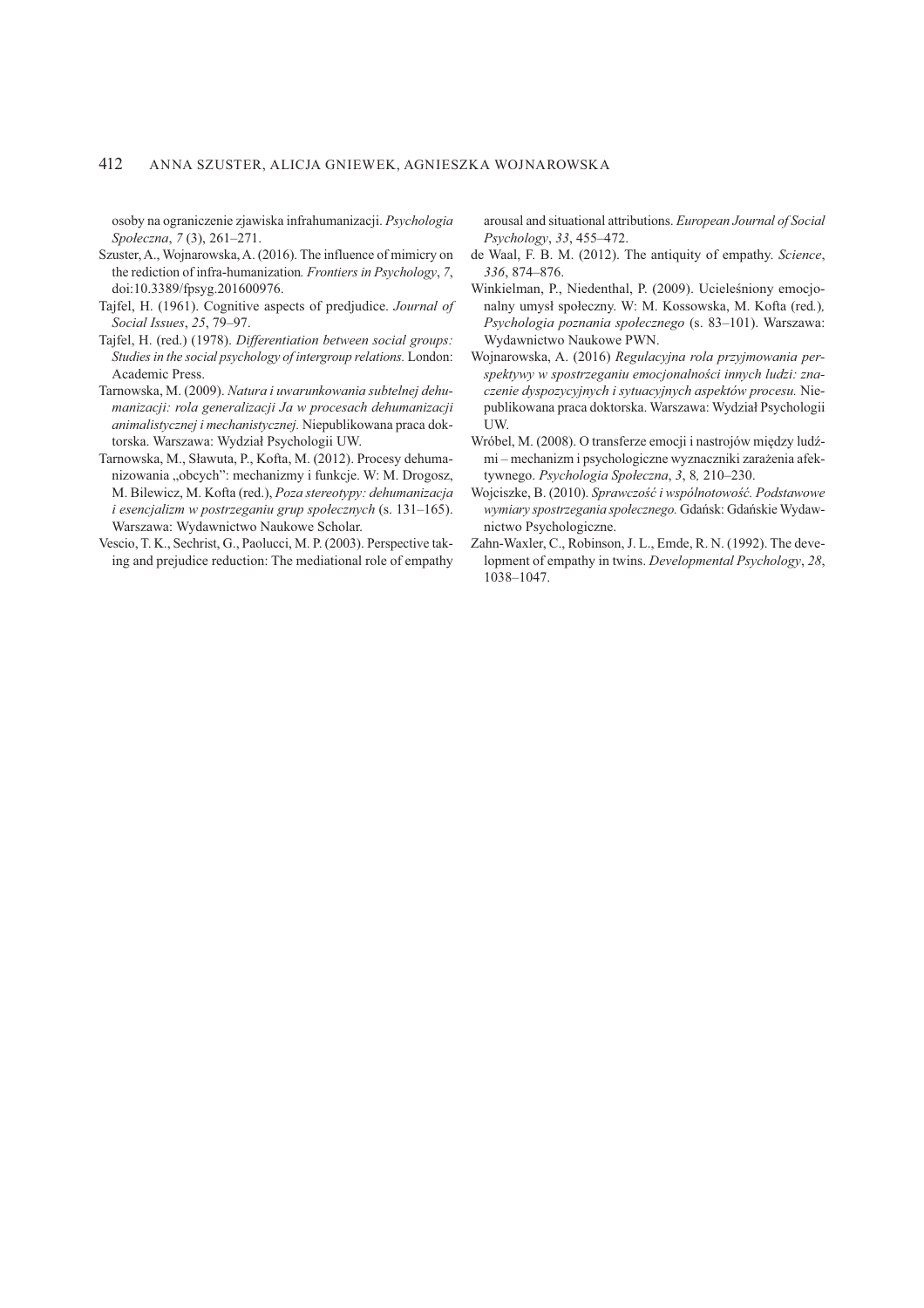osoby na ograniczenie zjawiska infrahumanizacji. Psychologia Społeczna, 7 (3), 261-271.

- Szuster, A., Wojnarowska, A. (2016). The influence of mimicry on the rediction of infra-humanization. Frontiers in Psychology, 7, doi:10.3389/fpsyg.201600976.
- Tajfel, H. (1961). Cognitive aspects of predjudice. Journal of Social Issues, 25, 79-97.
- Tajfel, H. (red.) (1978). Differentiation between social groups: Studies in the social psychology of intergroup relations. London: Academic Press.
- Tarnowska, M. (2009). Natura i uwarunkowania subtelnej dehumanizacji: rola generalizacji Ja w procesach dehumanizacji animalistycznej i mechanistycznej. Niepublikowana praca doktorska. Warszawa: Wydział Psychologii UW.
- Tarnowska, M., Sławuta, P., Kofta, M. (2012). Procesy dehumanizowania "obcych": mechanizmy i funkcje. W: M. Drogosz, M. Bilewicz, M. Kofta (red.), Poza stereotypy: dehumanizacja i esencjalizm w postrzeganiu grup społecznych (s. 131–165). Warszawa: Wydawnictwo Naukowe Scholar.
- Vescio, T. K., Sechrist, G., Paolucci, M. P. (2003). Perspective taking and prejudice reduction: The mediational role of empathy

arousal and situational attributions. European Journal of Social Psychology, 33, 455-472.

- de Waal, F. B. M. (2012). The antiquity of empathy. Science, 336, 874-876.
- Winkielman, P., Niedenthal, P. (2009). Ucieleśniony emocjonalny umysł społeczny. W: M. Kossowska, M. Kofta (red.), Psychologia poznania społecznego (s. 83-101). Warszawa: Wydawnictwo Naukowe PWN.
- Wojnarowska, A. (2016) Regulacyjna rola przyjmowania perspektywy w spostrzeganiu emocjonalności innych ludzi: znaczenie dyspozycyjnych i sytuacyjnych aspektów procesu. Niepublikowana praca doktorska. Warszawa: Wydział Psychologii UW.
- Wróbel, M. (2008). O transferze emocji i nastrojów między ludźmi – mechanizm i psychologiczne wyznaczniki zarażenia afektywnego. Psychologia Społeczna, 3, 8, 210-230.
- Wojciszke, B. (2010). Sprawczość i wspólnotowość. Podstawowe wymiary spostrzegania społecznego. Gdańsk: Gdańskie Wydawnictwo Psychologiczne.
- Zahn-Waxler, C., Robinson, J. L., Emde, R. N. (1992). The development of empathy in twins. Developmental Psychology, 28, 1038-1047.